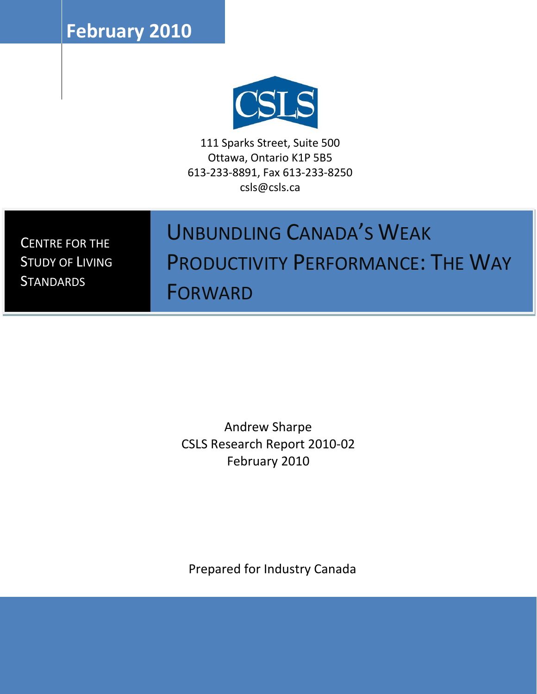**February 2010**



111 Sparks Street, Suite 500 Ottawa, Ontario K1P 5B5 613-233-8891, Fax 613-233-8250 csls@csls.ca

CENTRE FOR THE STUDY OF LIVING **STANDARDS** 

# UNBUNDLING CANADA'S WEAK PRODUCTIVITY PERFORMANCE: THE WAY

FORWARD

Andrew Sharpe CSLS Research Report 2010-02 February 2010

Prepared for Industry Canada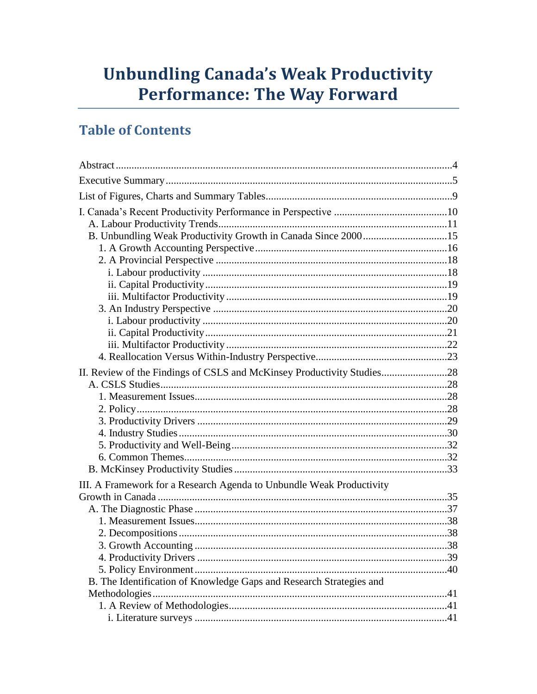# **Unbundling Canada's Weak Productivity Performance: The Way Forward**

# **Table of Contents**

| B. Unbundling Weak Productivity Growth in Canada Since 200015          |  |
|------------------------------------------------------------------------|--|
|                                                                        |  |
|                                                                        |  |
|                                                                        |  |
|                                                                        |  |
|                                                                        |  |
|                                                                        |  |
|                                                                        |  |
|                                                                        |  |
|                                                                        |  |
|                                                                        |  |
| II. Review of the Findings of CSLS and McKinsey Productivity Studies28 |  |
|                                                                        |  |
|                                                                        |  |
|                                                                        |  |
|                                                                        |  |
|                                                                        |  |
|                                                                        |  |
|                                                                        |  |
|                                                                        |  |
| III. A Framework for a Research Agenda to Unbundle Weak Productivity   |  |
|                                                                        |  |
|                                                                        |  |
|                                                                        |  |
|                                                                        |  |
|                                                                        |  |
|                                                                        |  |
|                                                                        |  |
| B. The Identification of Knowledge Gaps and Research Strategies and    |  |
|                                                                        |  |
|                                                                        |  |
|                                                                        |  |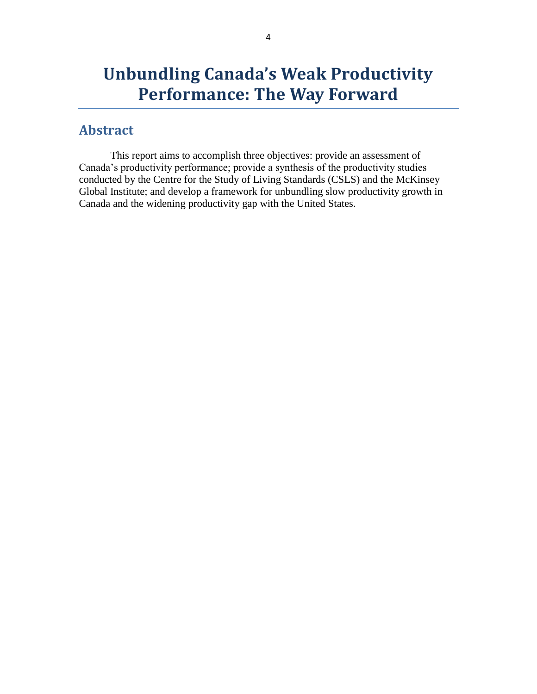# **Unbundling Canada's Weak Productivity Performance: The Way Forward**

### <span id="page-3-0"></span>**Abstract**

This report aims to accomplish three objectives: provide an assessment of Canada's productivity performance; provide a synthesis of the productivity studies conducted by the Centre for the Study of Living Standards (CSLS) and the McKinsey Global Institute; and develop a framework for unbundling slow productivity growth in Canada and the widening productivity gap with the United States.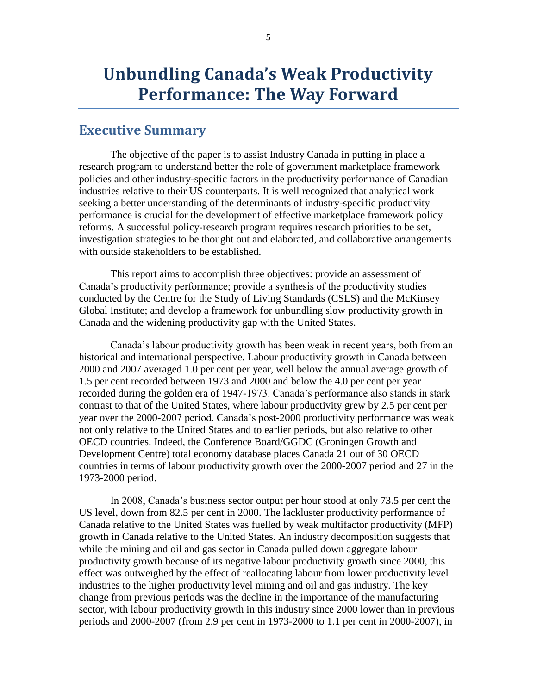# **Unbundling Canada's Weak Productivity Performance: The Way Forward**

### <span id="page-4-0"></span>**Executive Summary**

The objective of the paper is to assist Industry Canada in putting in place a research program to understand better the role of government marketplace framework policies and other industry-specific factors in the productivity performance of Canadian industries relative to their US counterparts. It is well recognized that analytical work seeking a better understanding of the determinants of industry-specific productivity performance is crucial for the development of effective marketplace framework policy reforms. A successful policy-research program requires research priorities to be set, investigation strategies to be thought out and elaborated, and collaborative arrangements with outside stakeholders to be established.

This report aims to accomplish three objectives: provide an assessment of Canada's productivity performance; provide a synthesis of the productivity studies conducted by the Centre for the Study of Living Standards (CSLS) and the McKinsey Global Institute; and develop a framework for unbundling slow productivity growth in Canada and the widening productivity gap with the United States.

Canada's labour productivity growth has been weak in recent years, both from an historical and international perspective. Labour productivity growth in Canada between 2000 and 2007 averaged 1.0 per cent per year, well below the annual average growth of 1.5 per cent recorded between 1973 and 2000 and below the 4.0 per cent per year recorded during the golden era of 1947-1973. Canada's performance also stands in stark contrast to that of the United States, where labour productivity grew by 2.5 per cent per year over the 2000-2007 period. Canada's post-2000 productivity performance was weak not only relative to the United States and to earlier periods, but also relative to other OECD countries. Indeed, the Conference Board/GGDC (Groningen Growth and Development Centre) total economy database places Canada 21 out of 30 OECD countries in terms of labour productivity growth over the 2000-2007 period and 27 in the 1973-2000 period.

In 2008, Canada's business sector output per hour stood at only 73.5 per cent the US level, down from 82.5 per cent in 2000. The lackluster productivity performance of Canada relative to the United States was fuelled by weak multifactor productivity (MFP) growth in Canada relative to the United States. An industry decomposition suggests that while the mining and oil and gas sector in Canada pulled down aggregate labour productivity growth because of its negative labour productivity growth since 2000, this effect was outweighed by the effect of reallocating labour from lower productivity level industries to the higher productivity level mining and oil and gas industry. The key change from previous periods was the decline in the importance of the manufacturing sector, with labour productivity growth in this industry since 2000 lower than in previous periods and 2000-2007 (from 2.9 per cent in 1973-2000 to 1.1 per cent in 2000-2007), in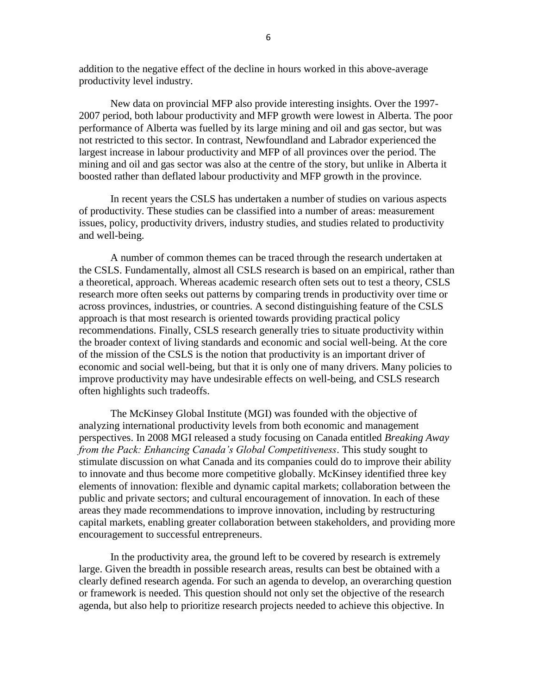addition to the negative effect of the decline in hours worked in this above-average productivity level industry.

New data on provincial MFP also provide interesting insights. Over the 1997- 2007 period, both labour productivity and MFP growth were lowest in Alberta. The poor performance of Alberta was fuelled by its large mining and oil and gas sector, but was not restricted to this sector. In contrast, Newfoundland and Labrador experienced the largest increase in labour productivity and MFP of all provinces over the period. The mining and oil and gas sector was also at the centre of the story, but unlike in Alberta it boosted rather than deflated labour productivity and MFP growth in the province.

In recent years the CSLS has undertaken a number of studies on various aspects of productivity. These studies can be classified into a number of areas: measurement issues, policy, productivity drivers, industry studies, and studies related to productivity and well-being.

A number of common themes can be traced through the research undertaken at the CSLS. Fundamentally, almost all CSLS research is based on an empirical, rather than a theoretical, approach. Whereas academic research often sets out to test a theory, CSLS research more often seeks out patterns by comparing trends in productivity over time or across provinces, industries, or countries. A second distinguishing feature of the CSLS approach is that most research is oriented towards providing practical policy recommendations. Finally, CSLS research generally tries to situate productivity within the broader context of living standards and economic and social well-being. At the core of the mission of the CSLS is the notion that productivity is an important driver of economic and social well-being, but that it is only one of many drivers. Many policies to improve productivity may have undesirable effects on well-being, and CSLS research often highlights such tradeoffs.

The McKinsey Global Institute (MGI) was founded with the objective of analyzing international productivity levels from both economic and management perspectives. In 2008 MGI released a study focusing on Canada entitled *Breaking Away from the Pack: Enhancing Canada's Global Competitiveness*. This study sought to stimulate discussion on what Canada and its companies could do to improve their ability to innovate and thus become more competitive globally. McKinsey identified three key elements of innovation: flexible and dynamic capital markets; collaboration between the public and private sectors; and cultural encouragement of innovation. In each of these areas they made recommendations to improve innovation, including by restructuring capital markets, enabling greater collaboration between stakeholders, and providing more encouragement to successful entrepreneurs.

In the productivity area, the ground left to be covered by research is extremely large. Given the breadth in possible research areas, results can best be obtained with a clearly defined research agenda. For such an agenda to develop, an overarching question or framework is needed. This question should not only set the objective of the research agenda, but also help to prioritize research projects needed to achieve this objective. In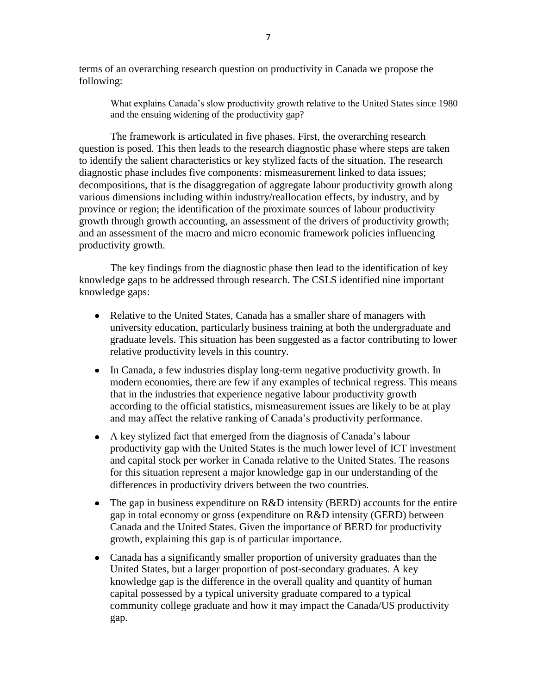terms of an overarching research question on productivity in Canada we propose the following:

What explains Canada's slow productivity growth relative to the United States since 1980 and the ensuing widening of the productivity gap?

The framework is articulated in five phases. First, the overarching research question is posed. This then leads to the research diagnostic phase where steps are taken to identify the salient characteristics or key stylized facts of the situation. The research diagnostic phase includes five components: mismeasurement linked to data issues; decompositions, that is the disaggregation of aggregate labour productivity growth along various dimensions including within industry/reallocation effects, by industry, and by province or region; the identification of the proximate sources of labour productivity growth through growth accounting, an assessment of the drivers of productivity growth; and an assessment of the macro and micro economic framework policies influencing productivity growth.

The key findings from the diagnostic phase then lead to the identification of key knowledge gaps to be addressed through research. The CSLS identified nine important knowledge gaps:

- Relative to the United States, Canada has a smaller share of managers with university education, particularly business training at both the undergraduate and graduate levels. This situation has been suggested as a factor contributing to lower relative productivity levels in this country.
- In Canada, a few industries display long-term negative productivity growth. In modern economies, there are few if any examples of technical regress. This means that in the industries that experience negative labour productivity growth according to the official statistics, mismeasurement issues are likely to be at play and may affect the relative ranking of Canada's productivity performance.
- A key stylized fact that emerged from the diagnosis of Canada's labour productivity gap with the United States is the much lower level of ICT investment and capital stock per worker in Canada relative to the United States. The reasons for this situation represent a major knowledge gap in our understanding of the differences in productivity drivers between the two countries.
- The gap in business expenditure on R&D intensity (BERD) accounts for the entire gap in total economy or gross (expenditure on R&D intensity (GERD) between Canada and the United States. Given the importance of BERD for productivity growth, explaining this gap is of particular importance.
- Canada has a significantly smaller proportion of university graduates than the United States, but a larger proportion of post-secondary graduates. A key knowledge gap is the difference in the overall quality and quantity of human capital possessed by a typical university graduate compared to a typical community college graduate and how it may impact the Canada/US productivity gap.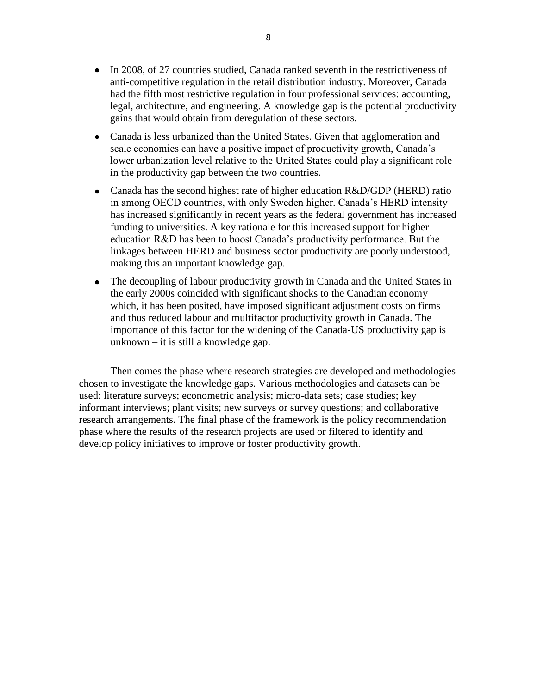- In 2008, of 27 countries studied, Canada ranked seventh in the restrictiveness of anti-competitive regulation in the retail distribution industry. Moreover, Canada had the fifth most restrictive regulation in four professional services: accounting, legal, architecture, and engineering. A knowledge gap is the potential productivity gains that would obtain from deregulation of these sectors.
- Canada is less urbanized than the United States. Given that agglomeration and scale economies can have a positive impact of productivity growth, Canada's lower urbanization level relative to the United States could play a significant role in the productivity gap between the two countries.
- Canada has the second highest rate of higher education R&D/GDP (HERD) ratio in among OECD countries, with only Sweden higher. Canada's HERD intensity has increased significantly in recent years as the federal government has increased funding to universities. A key rationale for this increased support for higher education R&D has been to boost Canada's productivity performance. But the linkages between HERD and business sector productivity are poorly understood, making this an important knowledge gap.
- The decoupling of labour productivity growth in Canada and the United States in the early 2000s coincided with significant shocks to the Canadian economy which, it has been posited, have imposed significant adjustment costs on firms and thus reduced labour and multifactor productivity growth in Canada. The importance of this factor for the widening of the Canada-US productivity gap is unknown – it is still a knowledge gap.

Then comes the phase where research strategies are developed and methodologies chosen to investigate the knowledge gaps. Various methodologies and datasets can be used: literature surveys; econometric analysis; micro-data sets; case studies; key informant interviews; plant visits; new surveys or survey questions; and collaborative research arrangements. The final phase of the framework is the policy recommendation phase where the results of the research projects are used or filtered to identify and develop policy initiatives to improve or foster productivity growth.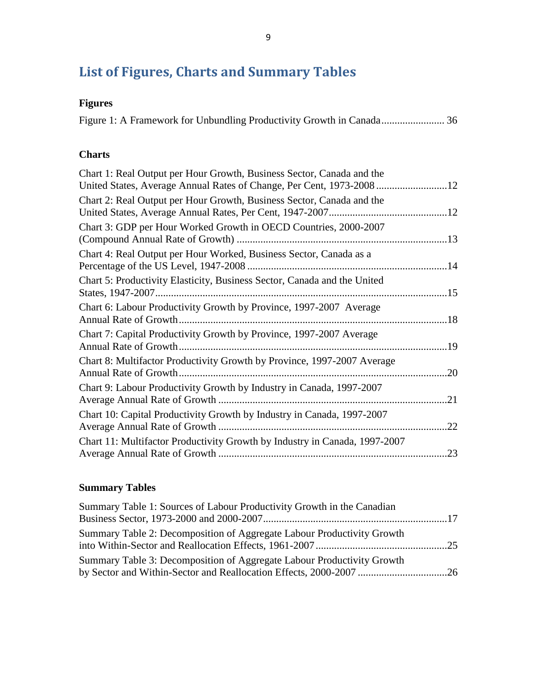# <span id="page-8-0"></span>**List of Figures, Charts and Summary Tables**

# **Figures**

### **Charts**

| Chart 1: Real Output per Hour Growth, Business Sector, Canada and the<br>United States, Average Annual Rates of Change, Per Cent, 1973-2008 |     |
|---------------------------------------------------------------------------------------------------------------------------------------------|-----|
| Chart 2: Real Output per Hour Growth, Business Sector, Canada and the                                                                       | 12  |
| Chart 3: GDP per Hour Worked Growth in OECD Countries, 2000-2007                                                                            | .13 |
| Chart 4: Real Output per Hour Worked, Business Sector, Canada as a                                                                          | 14  |
| Chart 5: Productivity Elasticity, Business Sector, Canada and the United<br>States, 1947-2007                                               | 15  |
| Chart 6: Labour Productivity Growth by Province, 1997-2007 Average<br>Annual Rate of Growth.                                                | .18 |
| Chart 7: Capital Productivity Growth by Province, 1997-2007 Average                                                                         | 19  |
| Chart 8: Multifactor Productivity Growth by Province, 1997-2007 Average<br>Annual Rate of Growth.                                           | 20  |
| Chart 9: Labour Productivity Growth by Industry in Canada, 1997-2007                                                                        | .21 |
| Chart 10: Capital Productivity Growth by Industry in Canada, 1997-2007<br>Average Annual Rate of Growth                                     | 22  |
| Chart 11: Multifactor Productivity Growth by Industry in Canada, 1997-2007                                                                  | 23  |

## **Summary Tables**

| Summary Table 1: Sources of Labour Productivity Growth in the Canadian |  |
|------------------------------------------------------------------------|--|
|                                                                        |  |
| Summary Table 2: Decomposition of Aggregate Labour Productivity Growth |  |
| Summary Table 3: Decomposition of Aggregate Labour Productivity Growth |  |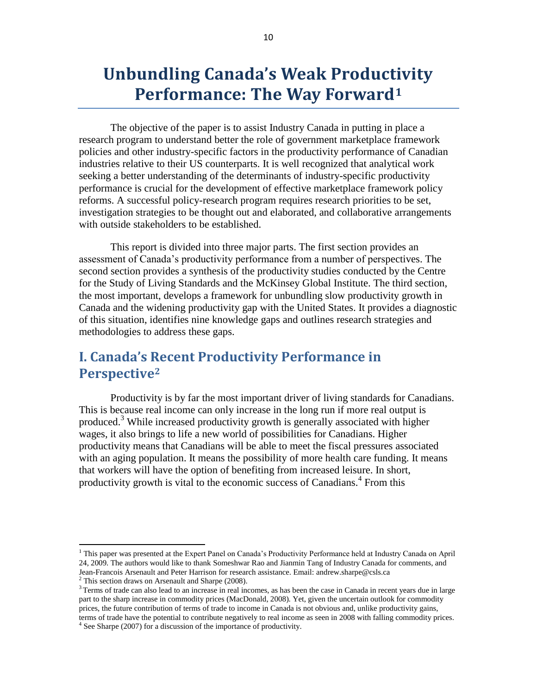# **Unbundling Canada's Weak Productivity Performance: The Way Forward<sup>1</sup>**

The objective of the paper is to assist Industry Canada in putting in place a research program to understand better the role of government marketplace framework policies and other industry-specific factors in the productivity performance of Canadian industries relative to their US counterparts. It is well recognized that analytical work seeking a better understanding of the determinants of industry-specific productivity performance is crucial for the development of effective marketplace framework policy reforms. A successful policy-research program requires research priorities to be set, investigation strategies to be thought out and elaborated, and collaborative arrangements with outside stakeholders to be established.

This report is divided into three major parts. The first section provides an assessment of Canada's productivity performance from a number of perspectives. The second section provides a synthesis of the productivity studies conducted by the Centre for the Study of Living Standards and the McKinsey Global Institute. The third section, the most important, develops a framework for unbundling slow productivity growth in Canada and the widening productivity gap with the United States. It provides a diagnostic of this situation, identifies nine knowledge gaps and outlines research strategies and methodologies to address these gaps.

# <span id="page-9-0"></span>**I. Canada's Recent Productivity Performance in Perspective<sup>2</sup>**

Productivity is by far the most important driver of living standards for Canadians. This is because real income can only increase in the long run if more real output is produced.<sup>3</sup> While increased productivity growth is generally associated with higher wages, it also brings to life a new world of possibilities for Canadians. Higher productivity means that Canadians will be able to meet the fiscal pressures associated with an aging population. It means the possibility of more health care funding. It means that workers will have the option of benefiting from increased leisure. In short, productivity growth is vital to the economic success of Canadians.<sup>4</sup> From this

 $\overline{\phantom{a}}$ 

<sup>&</sup>lt;sup>1</sup> This paper was presented at the Expert Panel on Canada's Productivity Performance held at Industry Canada on April 24, 2009. The authors would like to thank Someshwar Rao and Jianmin Tang of Industry Canada for comments, and Jean-Francois Arsenault and Peter Harrison for research assistance. Email: andrew.sharpe@csls.ca

 $2$  This section draws on Arsenault and Sharpe (2008).

<sup>&</sup>lt;sup>3</sup> Terms of trade can also lead to an increase in real incomes, as has been the case in Canada in recent years due in large part to the sharp increase in commodity prices (MacDonald, 2008). Yet, given the uncertain outlook for commodity prices, the future contribution of terms of trade to income in Canada is not obvious and, unlike productivity gains, terms of trade have the potential to contribute negatively to real income as seen in 2008 with falling commodity prices.

<sup>&</sup>lt;sup>4</sup> See Sharpe (2007) for a discussion of the importance of productivity.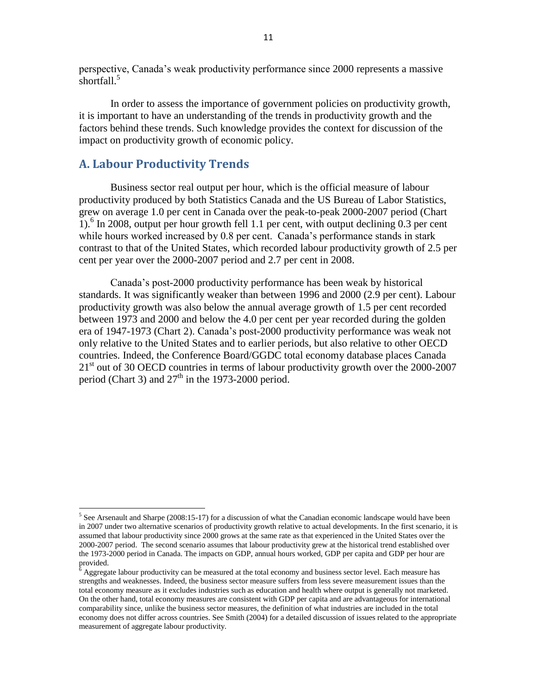perspective, Canada's weak productivity performance since 2000 represents a massive shortfall.<sup>5</sup>

In order to assess the importance of government policies on productivity growth, it is important to have an understanding of the trends in productivity growth and the factors behind these trends. Such knowledge provides the context for discussion of the impact on productivity growth of economic policy.

#### <span id="page-10-0"></span>**A. Labour Productivity Trends**

 $\overline{\phantom{a}}$ 

Business sector real output per hour, which is the official measure of labour productivity produced by both Statistics Canada and the US Bureau of Labor Statistics, grew on average 1.0 per cent in Canada over the peak-to-peak 2000-2007 period [\(Chart](#page-11-0)  [1\)](#page-11-0).<sup>6</sup> In 2008, output per hour growth fell 1.1 per cent, with output declining 0.3 per cent while hours worked increased by 0.8 per cent. Canada's performance stands in stark contrast to that of the United States, which recorded labour productivity growth of 2.5 per cent per year over the 2000-2007 period and 2.7 per cent in 2008.

Canada's post-2000 productivity performance has been weak by historical standards. It was significantly weaker than between 1996 and 2000 (2.9 per cent). Labour productivity growth was also below the annual average growth of 1.5 per cent recorded between 1973 and 2000 and below the 4.0 per cent per year recorded during the golden era of 1947-1973 (Chart 2). Canada's post-2000 productivity performance was weak not only relative to the United States and to earlier periods, but also relative to other OECD countries. Indeed, the Conference Board/GGDC total economy database places Canada  $21<sup>st</sup>$  out of 30 OECD countries in terms of labour productivity growth over the 2000-2007 period (Chart 3) and  $27<sup>th</sup>$  in the 1973-2000 period.

 $5$  See Arsenault and Sharpe (2008:15-17) for a discussion of what the Canadian economic landscape would have been in 2007 under two alternative scenarios of productivity growth relative to actual developments. In the first scenario, it is assumed that labour productivity since 2000 grows at the same rate as that experienced in the United States over the 2000-2007 period. The second scenario assumes that labour productivity grew at the historical trend established over the 1973-2000 period in Canada. The impacts on GDP, annual hours worked, GDP per capita and GDP per hour are provided.

<sup>6</sup> Aggregate labour productivity can be measured at the total economy and business sector level. Each measure has strengths and weaknesses. Indeed, the business sector measure suffers from less severe measurement issues than the total economy measure as it excludes industries such as education and health where output is generally not marketed. On the other hand, total economy measures are consistent with GDP per capita and are advantageous for international comparability since, unlike the business sector measures, the definition of what industries are included in the total economy does not differ across countries. See Smith (2004) for a detailed discussion of issues related to the appropriate measurement of aggregate labour productivity.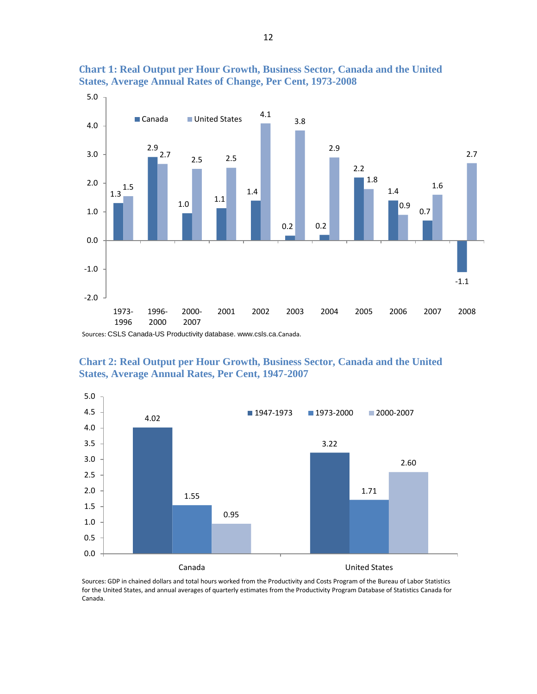

<span id="page-11-0"></span>**Chart 1: Real Output per Hour Growth, Business Sector, Canada and the United States, Average Annual Rates of Change, Per Cent, 1973-2008**

Sources: CSLS Canada-US Productivity database. www.csls.ca.Canada.

<span id="page-11-1"></span>**Chart 2: Real Output per Hour Growth, Business Sector, Canada and the United States, Average Annual Rates, Per Cent, 1947-2007**



Sources: GDP in chained dollars and total hours worked from the Productivity and Costs Program of the Bureau of Labor Statistics for the United States, and annual averages of quarterly estimates from the Productivity Program Database of Statistics Canada for Canada.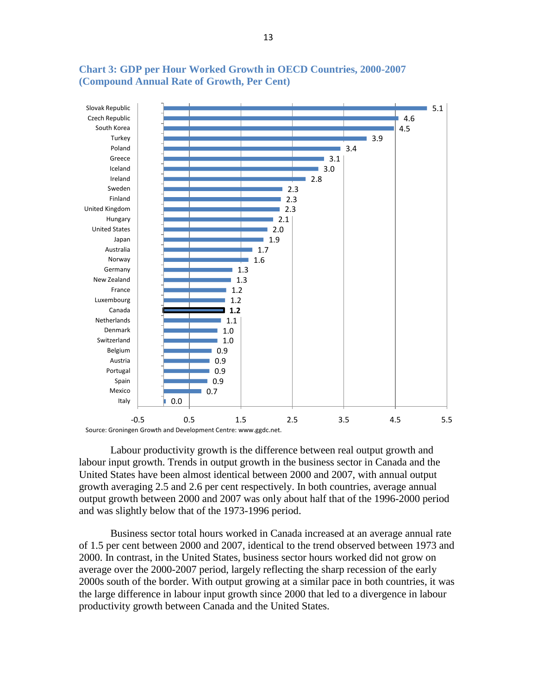

#### <span id="page-12-0"></span>**Chart 3: GDP per Hour Worked Growth in OECD Countries, 2000-2007 (Compound Annual Rate of Growth, Per Cent)**

Labour productivity growth is the difference between real output growth and labour input growth. Trends in output growth in the business sector in Canada and the United States have been almost identical between 2000 and 2007, with annual output growth averaging 2.5 and 2.6 per cent respectively. In both countries, average annual output growth between 2000 and 2007 was only about half that of the 1996-2000 period and was slightly below that of the 1973-1996 period.

Business sector total hours worked in Canada increased at an average annual rate of 1.5 per cent between 2000 and 2007, identical to the trend observed between 1973 and 2000. In contrast, in the United States, business sector hours worked did not grow on average over the 2000-2007 period, largely reflecting the sharp recession of the early 2000s south of the border. With output growing at a similar pace in both countries, it was the large difference in labour input growth since 2000 that led to a divergence in labour productivity growth between Canada and the United States.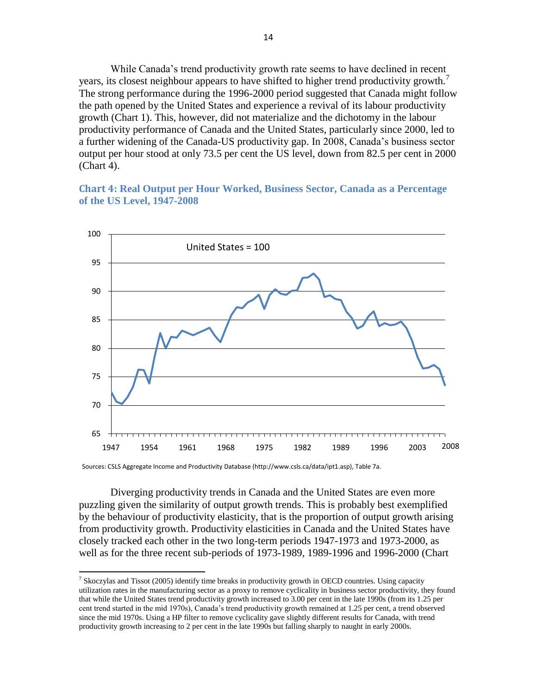While Canada's trend productivity growth rate seems to have declined in recent years, its closest neighbour appears to have shifted to higher trend productivity growth.<sup>7</sup> The strong performance during the 1996-2000 period suggested that Canada might follow the path opened by the United States and experience a revival of its labour productivity growth [\(Chart 1\)](#page-11-0). This, however, did not materialize and the dichotomy in the labour productivity performance of Canada and the United States, particularly since 2000, led to a further widening of the Canada-US productivity gap. In 2008, Canada's business sector output per hour stood at only 73.5 per cent the US level, down from 82.5 per cent in 2000 [\(Chart 4\)](#page-13-0).

#### <span id="page-13-0"></span>**Chart 4: Real Output per Hour Worked, Business Sector, Canada as a Percentage of the US Level, 1947-2008**



Sources: CSLS Aggregate Income and Productivity Database (http://www.csls.ca/data/ipt1.asp), Table 7a.

 $\overline{\phantom{a}}$ 

Diverging productivity trends in Canada and the United States are even more puzzling given the similarity of output growth trends. This is probably best exemplified by the behaviour of productivity elasticity, that is the proportion of output growth arising from productivity growth. Productivity elasticities in Canada and the United States have closely tracked each other in the two long-term periods 1947-1973 and 1973-2000, as well as for the three recent sub-periods of 1973-1989, 1989-1996 and 1996-2000 (Chart

<sup>&</sup>lt;sup>7</sup> Skoczylas and Tissot (2005) identify time breaks in productivity growth in OECD countries. Using capacity utilization rates in the manufacturing sector as a proxy to remove cyclicality in business sector productivity, they found that while the United States trend productivity growth increased to 3.00 per cent in the late 1990s (from its 1.25 per cent trend started in the mid 1970s), Canada's trend productivity growth remained at 1.25 per cent, a trend observed since the mid 1970s. Using a HP filter to remove cyclicality gave slightly different results for Canada, with trend productivity growth increasing to 2 per cent in the late 1990s but falling sharply to naught in early 2000s.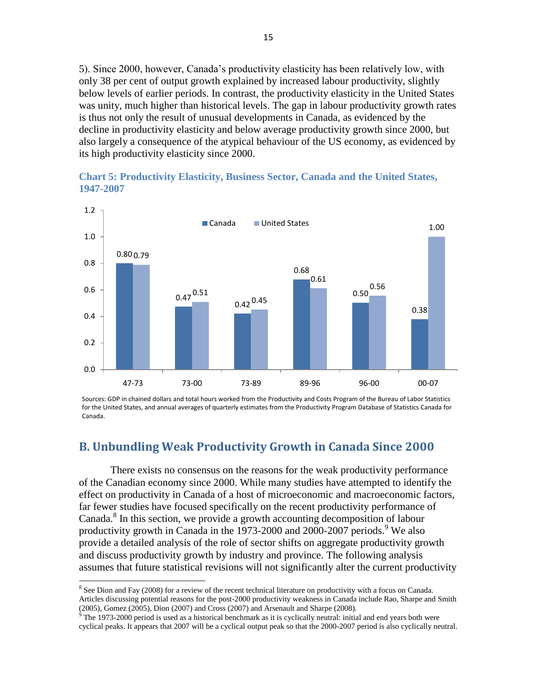5). Since 2000, however, Canada's productivity elasticity has been relatively low, with only 38 per cent of output growth explained by increased labour productivity, slightly below levels of earlier periods. In contrast, the productivity elasticity in the United States was unity, much higher than historical levels. The gap in labour productivity growth rates is thus not only the result of unusual developments in Canada, as evidenced by the decline in productivity elasticity and below average productivity growth since 2000, but also largely a consequence of the atypical behaviour of the US economy, as evidenced by its high productivity elasticity since 2000.



<span id="page-14-1"></span>**Chart 5: Productivity Elasticity, Business Sector, Canada and the United States, 1947-2007**

Sources: GDP in chained dollars and total hours worked from the Productivity and Costs Program of the Bureau of Labor Statistics for the United States, and annual averages of quarterly estimates from the Productivity Program Database of Statistics Canada for Canada.

### <span id="page-14-0"></span>**B. Unbundling Weak Productivity Growth in Canada Since 2000**

There exists no consensus on the reasons for the weak productivity performance of the Canadian economy since 2000. While many studies have attempted to identify the effect on productivity in Canada of a host of microeconomic and macroeconomic factors, far fewer studies have focused specifically on the recent productivity performance of Canada.<sup>8</sup> In this section, we provide a growth accounting decomposition of labour productivity growth in Canada in the 1973-2000 and 2000-2007 periods.<sup>9</sup> We also provide a detailed analysis of the role of sector shifts on aggregate productivity growth and discuss productivity growth by industry and province. The following analysis assumes that future statistical revisions will not significantly alter the current productivity

l

<sup>&</sup>lt;sup>8</sup> See Dion and Fay (2008) for a review of the recent technical literature on productivity with a focus on Canada. Articles discussing potential reasons for the post-2000 productivity weakness in Canada include Rao, Sharpe and Smith (2005), Gomez (2005), Dion (2007) and Cross (2007) and Arsenault and Sharpe (2008).

 $9$  The 1973-2000 period is used as a historical benchmark as it is cyclically neutral: initial and end years both were cyclical peaks. It appears that 2007 will be a cyclical output peak so that the 2000-2007 period is also cyclically neutral.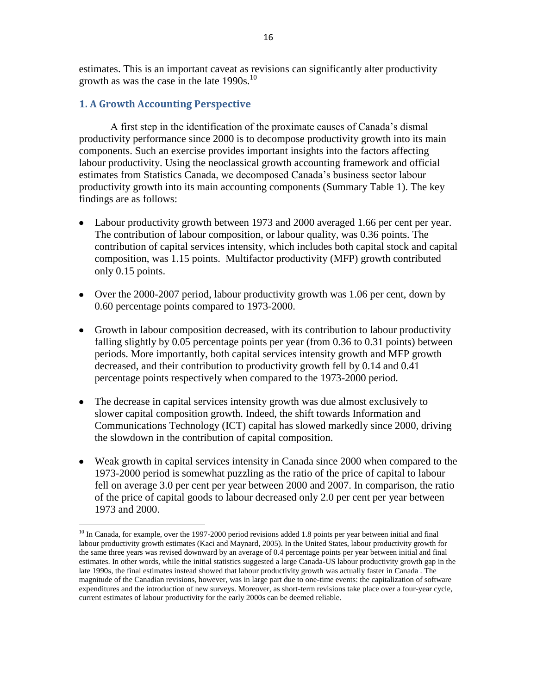estimates. This is an important caveat as revisions can significantly alter productivity growth as was the case in the late  $1990s$ .<sup>10</sup>

#### <span id="page-15-0"></span>**1. A Growth Accounting Perspective**

l

A first step in the identification of the proximate causes of Canada's dismal productivity performance since 2000 is to decompose productivity growth into its main components. Such an exercise provides important insights into the factors affecting labour productivity. Using the neoclassical growth accounting framework and official estimates from Statistics Canada, we decomposed Canada's business sector labour productivity growth into its main accounting components [\(Summary Table 1\)](#page-16-0). The key findings are as follows:

- Labour productivity growth between 1973 and 2000 averaged 1.66 per cent per year. The contribution of labour composition, or labour quality, was 0.36 points. The contribution of capital services intensity, which includes both capital stock and capital composition, was 1.15 points. Multifactor productivity (MFP) growth contributed only 0.15 points.
- Over the 2000-2007 period, labour productivity growth was 1.06 per cent, down by 0.60 percentage points compared to 1973-2000.
- Growth in labour composition decreased, with its contribution to labour productivity falling slightly by 0.05 percentage points per year (from 0.36 to 0.31 points) between periods. More importantly, both capital services intensity growth and MFP growth decreased, and their contribution to productivity growth fell by 0.14 and 0.41 percentage points respectively when compared to the 1973-2000 period.
- The decrease in capital services intensity growth was due almost exclusively to slower capital composition growth. Indeed, the shift towards Information and Communications Technology (ICT) capital has slowed markedly since 2000, driving the slowdown in the contribution of capital composition.
- Weak growth in capital services intensity in Canada since 2000 when compared to the 1973-2000 period is somewhat puzzling as the ratio of the price of capital to labour fell on average 3.0 per cent per year between 2000 and 2007. In comparison, the ratio of the price of capital goods to labour decreased only 2.0 per cent per year between 1973 and 2000.

<sup>&</sup>lt;sup>10</sup> In Canada, for example, over the 1997-2000 period revisions added 1.8 points per year between initial and final labour productivity growth estimates (Kaci and Maynard, 2005). In the United States, labour productivity growth for the same three years was revised downward by an average of 0.4 percentage points per year between initial and final estimates. In other words, while the initial statistics suggested a large Canada-US labour productivity growth gap in the late 1990s, the final estimates instead showed that labour productivity growth was actually faster in Canada . The magnitude of the Canadian revisions, however, was in large part due to one-time events: the capitalization of software expenditures and the introduction of new surveys. Moreover, as short-term revisions take place over a four-year cycle, current estimates of labour productivity for the early 2000s can be deemed reliable.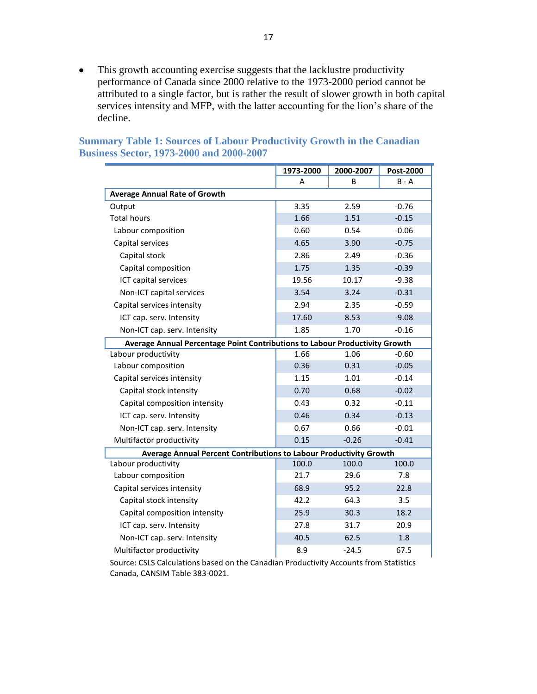This growth accounting exercise suggests that the lacklustre productivity  $\bullet$ performance of Canada since 2000 relative to the 1973-2000 period cannot be attributed to a single factor, but is rather the result of slower growth in both capital services intensity and MFP, with the latter accounting for the lion's share of the decline.

|                                                                             | 1973-2000 | 2000-2007    | Post-2000 |  |  |  |
|-----------------------------------------------------------------------------|-----------|--------------|-----------|--|--|--|
|                                                                             | A         | <sub>B</sub> | $B - A$   |  |  |  |
| <b>Average Annual Rate of Growth</b>                                        |           |              |           |  |  |  |
| Output                                                                      | 3.35      | 2.59         | $-0.76$   |  |  |  |
| <b>Total hours</b>                                                          | 1.66      | 1.51         | $-0.15$   |  |  |  |
| Labour composition                                                          | 0.60      | 0.54         | $-0.06$   |  |  |  |
| Capital services                                                            | 4.65      | 3.90         | $-0.75$   |  |  |  |
| Capital stock                                                               | 2.86      | 2.49         | $-0.36$   |  |  |  |
| Capital composition                                                         | 1.75      | 1.35         | $-0.39$   |  |  |  |
| ICT capital services                                                        | 19.56     | 10.17        | $-9.38$   |  |  |  |
| Non-ICT capital services                                                    | 3.54      | 3.24         | $-0.31$   |  |  |  |
| Capital services intensity                                                  | 2.94      | 2.35         | $-0.59$   |  |  |  |
| ICT cap. serv. Intensity                                                    | 17.60     | 8.53         | $-9.08$   |  |  |  |
| Non-ICT cap. serv. Intensity                                                | 1.85      | 1.70         | $-0.16$   |  |  |  |
| Average Annual Percentage Point Contributions to Labour Productivity Growth |           |              |           |  |  |  |
| Labour productivity                                                         | 1.66      | 1.06         | $-0.60$   |  |  |  |
| Labour composition                                                          | 0.36      | 0.31         | $-0.05$   |  |  |  |
| Capital services intensity                                                  | 1.15      | 1.01         | $-0.14$   |  |  |  |
| Capital stock intensity                                                     | 0.70      | 0.68         | $-0.02$   |  |  |  |
| Capital composition intensity                                               | 0.43      | 0.32         | $-0.11$   |  |  |  |
| ICT cap. serv. Intensity                                                    | 0.46      | 0.34         | $-0.13$   |  |  |  |
| Non-ICT cap. serv. Intensity                                                | 0.67      | 0.66         | $-0.01$   |  |  |  |
| Multifactor productivity                                                    | 0.15      | $-0.26$      | $-0.41$   |  |  |  |
| Average Annual Percent Contributions to Labour Productivity Growth          |           |              |           |  |  |  |
| Labour productivity                                                         | 100.0     | 100.0        | 100.0     |  |  |  |
| Labour composition                                                          | 21.7      | 29.6         | 7.8       |  |  |  |
| Capital services intensity                                                  | 68.9      | 95.2         | 22.8      |  |  |  |
| Capital stock intensity                                                     | 42.2      | 64.3         | 3.5       |  |  |  |
| Capital composition intensity                                               | 25.9      | 30.3         | 18.2      |  |  |  |
| ICT cap. serv. Intensity                                                    | 27.8      | 31.7         | 20.9      |  |  |  |
| Non-ICT cap. serv. Intensity                                                | 40.5      | 62.5         | 1.8       |  |  |  |
| Multifactor productivity                                                    | 8.9       | -24.5        | 67.5      |  |  |  |

#### <span id="page-16-0"></span>**Summary Table 1: Sources of Labour Productivity Growth in the Canadian Business Sector, 1973-2000 and 2000-2007**

Source: CSLS Calculations based on the Canadian Productivity Accounts from Statistics Canada, CANSIM Table 383-0021.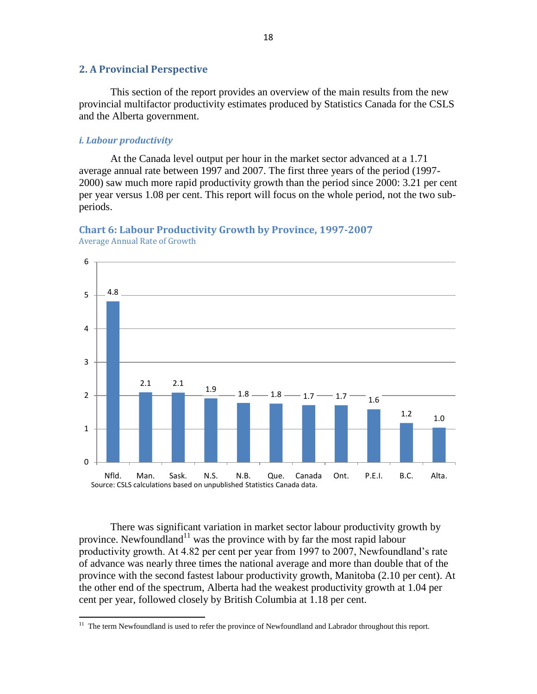#### <span id="page-17-0"></span>**2. A Provincial Perspective**

This section of the report provides an overview of the main results from the new provincial multifactor productivity estimates produced by Statistics Canada for the CSLS and the Alberta government.

#### <span id="page-17-1"></span>*i. Labour productivity*

At the Canada level output per hour in the market sector advanced at a 1.71 average annual rate between 1997 and 2007. The first three years of the period (1997- 2000) saw much more rapid productivity growth than the period since 2000: 3.21 per cent per year versus 1.08 per cent. This report will focus on the whole period, not the two subperiods.

<span id="page-17-2"></span>



Average Annual Rate of Growth

 $\overline{\phantom{a}}$ 

There was significant variation in market sector labour productivity growth by province. Newfoundland<sup>11</sup> was the province with by far the most rapid labour productivity growth. At 4.82 per cent per year from 1997 to 2007, Newfoundland's rate of advance was nearly three times the national average and more than double that of the province with the second fastest labour productivity growth, Manitoba (2.10 per cent). At the other end of the spectrum, Alberta had the weakest productivity growth at 1.04 per cent per year, followed closely by British Columbia at 1.18 per cent.

 $11$  The term Newfoundland is used to refer the province of Newfoundland and Labrador throughout this report.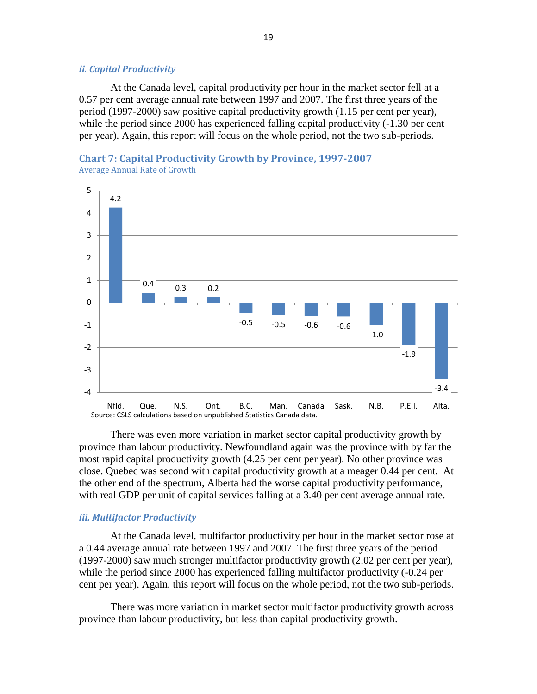#### <span id="page-18-0"></span>*ii. Capital Productivity*

At the Canada level, capital productivity per hour in the market sector fell at a 0.57 per cent average annual rate between 1997 and 2007. The first three years of the period (1997-2000) saw positive capital productivity growth (1.15 per cent per year), while the period since 2000 has experienced falling capital productivity  $(-1.30$  per cent per year). Again, this report will focus on the whole period, not the two sub-periods.

<span id="page-18-2"></span>



There was even more variation in market sector capital productivity growth by province than labour productivity. Newfoundland again was the province with by far the most rapid capital productivity growth (4.25 per cent per year). No other province was close. Quebec was second with capital productivity growth at a meager 0.44 per cent. At the other end of the spectrum, Alberta had the worse capital productivity performance, with real GDP per unit of capital services falling at a 3.40 per cent average annual rate.

#### <span id="page-18-1"></span>*iii. Multifactor Productivity*

At the Canada level, multifactor productivity per hour in the market sector rose at a 0.44 average annual rate between 1997 and 2007. The first three years of the period (1997-2000) saw much stronger multifactor productivity growth (2.02 per cent per year), while the period since 2000 has experienced falling multifactor productivity (-0.24 per cent per year). Again, this report will focus on the whole period, not the two sub-periods.

There was more variation in market sector multifactor productivity growth across province than labour productivity, but less than capital productivity growth.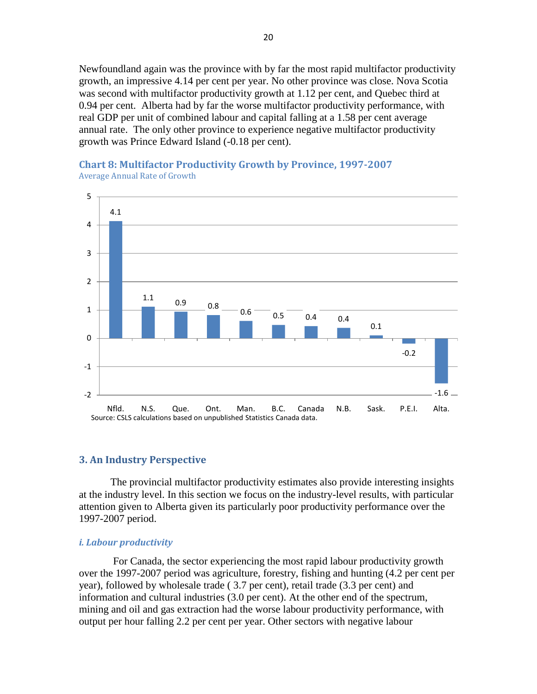Newfoundland again was the province with by far the most rapid multifactor productivity growth, an impressive 4.14 per cent per year. No other province was close. Nova Scotia was second with multifactor productivity growth at 1.12 per cent, and Quebec third at 0.94 per cent. Alberta had by far the worse multifactor productivity performance, with real GDP per unit of combined labour and capital falling at a 1.58 per cent average annual rate. The only other province to experience negative multifactor productivity growth was Prince Edward Island (-0.18 per cent).

# 4.1  $\frac{1.1}{0.9}$  0.8  $0.6 - 0.5 - 0.4$  0.4 0.1 -0.2  $-2$   $-1.6$ -1 0 1 2 3 4 5 Nfld. N.S. Que. Ont. Man. B.C. Canada N.B. Sask. P.E.I. Alta. Source: CSLS calculations based on unpublished Statistics Canada data.

#### <span id="page-19-2"></span>**Chart 8: Multifactor Productivity Growth by Province, 1997-2007** Average Annual Rate of Growth

#### <span id="page-19-0"></span>**3. An Industry Perspective**

The provincial multifactor productivity estimates also provide interesting insights at the industry level. In this section we focus on the industry-level results, with particular attention given to Alberta given its particularly poor productivity performance over the 1997-2007 period.

#### <span id="page-19-1"></span>*i. Labour productivity*

For Canada, the sector experiencing the most rapid labour productivity growth over the 1997-2007 period was agriculture, forestry, fishing and hunting (4.2 per cent per year), followed by wholesale trade ( 3.7 per cent), retail trade (3.3 per cent) and information and cultural industries (3.0 per cent). At the other end of the spectrum, mining and oil and gas extraction had the worse labour productivity performance, with output per hour falling 2.2 per cent per year. Other sectors with negative labour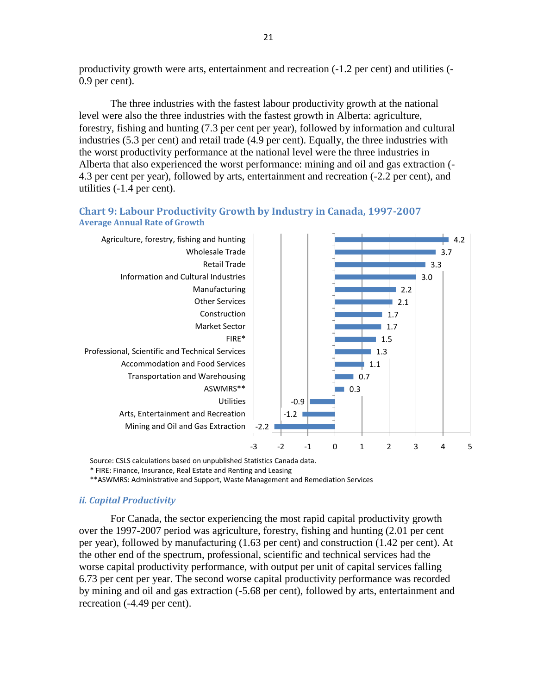productivity growth were arts, entertainment and recreation (-1.2 per cent) and utilities (- 0.9 per cent).

The three industries with the fastest labour productivity growth at the national level were also the three industries with the fastest growth in Alberta: agriculture, forestry, fishing and hunting (7.3 per cent per year), followed by information and cultural industries (5.3 per cent) and retail trade (4.9 per cent). Equally, the three industries with the worst productivity performance at the national level were the three industries in Alberta that also experienced the worst performance: mining and oil and gas extraction (- 4.3 per cent per year), followed by arts, entertainment and recreation (-2.2 per cent), and utilities (-1.4 per cent).

<span id="page-20-1"></span>



Source: CSLS calculations based on unpublished Statistics Canada data.

\* FIRE: Finance, Insurance, Real Estate and Renting and Leasing

\*\*ASWMRS: Administrative and Support, Waste Management and Remediation Services

#### <span id="page-20-0"></span>*ii. Capital Productivity*

For Canada, the sector experiencing the most rapid capital productivity growth over the 1997-2007 period was agriculture, forestry, fishing and hunting (2.01 per cent per year), followed by manufacturing (1.63 per cent) and construction (1.42 per cent). At the other end of the spectrum, professional, scientific and technical services had the worse capital productivity performance, with output per unit of capital services falling 6.73 per cent per year. The second worse capital productivity performance was recorded by mining and oil and gas extraction (-5.68 per cent), followed by arts, entertainment and recreation (-4.49 per cent).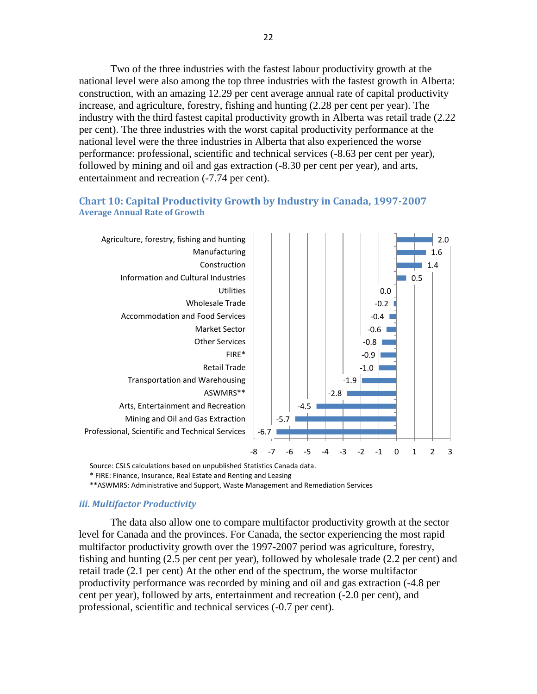Two of the three industries with the fastest labour productivity growth at the national level were also among the top three industries with the fastest growth in Alberta: construction, with an amazing 12.29 per cent average annual rate of capital productivity increase, and agriculture, forestry, fishing and hunting (2.28 per cent per year). The industry with the third fastest capital productivity growth in Alberta was retail trade (2.22 per cent). The three industries with the worst capital productivity performance at the national level were the three industries in Alberta that also experienced the worse performance: professional, scientific and technical services (-8.63 per cent per year), followed by mining and oil and gas extraction (-8.30 per cent per year), and arts, entertainment and recreation  $(-7.74$  per cent).

#### <span id="page-21-1"></span>**Chart 10: Capital Productivity Growth by Industry in Canada, 1997-2007 Average Annual Rate of Growth**



Source: CSLS calculations based on unpublished Statistics Canada data.

\* FIRE: Finance, Insurance, Real Estate and Renting and Leasing

\*\*ASWMRS: Administrative and Support, Waste Management and Remediation Services

#### <span id="page-21-0"></span>*iii. Multifactor Productivity*

The data also allow one to compare multifactor productivity growth at the sector level for Canada and the provinces. For Canada, the sector experiencing the most rapid multifactor productivity growth over the 1997-2007 period was agriculture, forestry, fishing and hunting (2.5 per cent per year), followed by wholesale trade (2.2 per cent) and retail trade (2.1 per cent) At the other end of the spectrum, the worse multifactor productivity performance was recorded by mining and oil and gas extraction (-4.8 per cent per year), followed by arts, entertainment and recreation (-2.0 per cent), and professional, scientific and technical services (-0.7 per cent).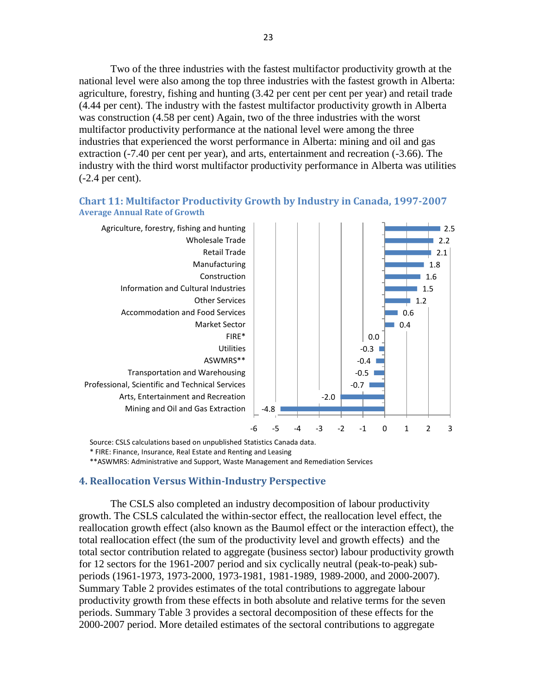Two of the three industries with the fastest multifactor productivity growth at the national level were also among the top three industries with the fastest growth in Alberta: agriculture, forestry, fishing and hunting (3.42 per cent per cent per year) and retail trade (4.44 per cent). The industry with the fastest multifactor productivity growth in Alberta was construction (4.58 per cent) Again, two of the three industries with the worst multifactor productivity performance at the national level were among the three industries that experienced the worst performance in Alberta: mining and oil and gas extraction (-7.40 per cent per year), and arts, entertainment and recreation (-3.66). The industry with the third worst multifactor productivity performance in Alberta was utilities (-2.4 per cent).

#### <span id="page-22-1"></span>**Chart 11: Multifactor Productivity Growth by Industry in Canada, 1997-2007 Average Annual Rate of Growth**



Source: CSLS calculations based on unpublished Statistics Canada data.

\* FIRE: Finance, Insurance, Real Estate and Renting and Leasing

\*\*ASWMRS: Administrative and Support, Waste Management and Remediation Services

#### <span id="page-22-0"></span>**4. Reallocation Versus Within-Industry Perspective**

The CSLS also completed an industry decomposition of labour productivity growth. The CSLS calculated the within-sector effect, the reallocation level effect, the reallocation growth effect (also known as the Baumol effect or the interaction effect), the total reallocation effect (the sum of the productivity level and growth effects) and the total sector contribution related to aggregate (business sector) labour productivity growth for 12 sectors for the 1961-2007 period and six cyclically neutral (peak-to-peak) subperiods (1961-1973, 1973-2000, 1973-1981, 1981-1989, 1989-2000, and 2000-2007). Summary Table 2 provides estimates of the total contributions to aggregate labour productivity growth from these effects in both absolute and relative terms for the seven periods. [Summary Table 3](#page-25-0) provides a sectoral decomposition of these effects for the 2000-2007 period. More detailed estimates of the sectoral contributions to aggregate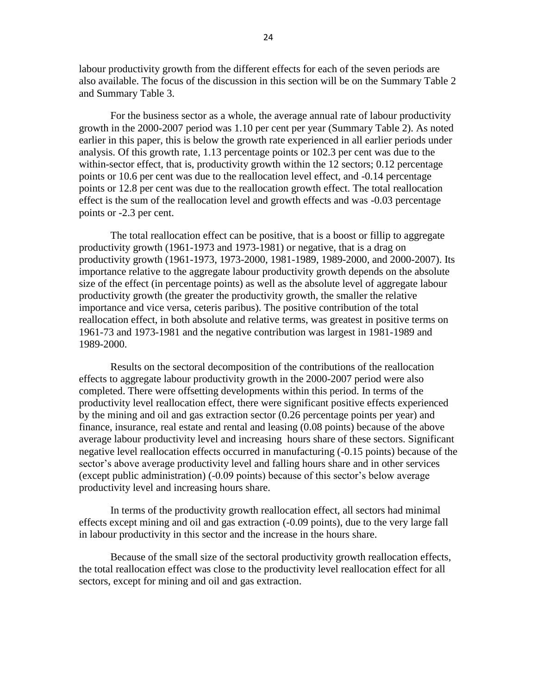labour productivity growth from the different effects for each of the seven periods are also available. The focus of the discussion in this section will be on the Summary Table 2 and [Summary Table 3.](#page-25-0)

For the business sector as a whole, the average annual rate of labour productivity growth in the 2000-2007 period was 1.10 per cent per year (Summary Table 2). As noted earlier in this paper, this is below the growth rate experienced in all earlier periods under analysis. Of this growth rate, 1.13 percentage points or 102.3 per cent was due to the within-sector effect, that is, productivity growth within the 12 sectors; 0.12 percentage points or 10.6 per cent was due to the reallocation level effect, and -0.14 percentage points or 12.8 per cent was due to the reallocation growth effect. The total reallocation effect is the sum of the reallocation level and growth effects and was -0.03 percentage points or -2.3 per cent.

The total reallocation effect can be positive, that is a boost or fillip to aggregate productivity growth (1961-1973 and 1973-1981) or negative, that is a drag on productivity growth (1961-1973, 1973-2000, 1981-1989, 1989-2000, and 2000-2007). Its importance relative to the aggregate labour productivity growth depends on the absolute size of the effect (in percentage points) as well as the absolute level of aggregate labour productivity growth (the greater the productivity growth, the smaller the relative importance and vice versa, ceteris paribus). The positive contribution of the total reallocation effect, in both absolute and relative terms, was greatest in positive terms on 1961-73 and 1973-1981 and the negative contribution was largest in 1981-1989 and 1989-2000.

Results on the sectoral decomposition of the contributions of the reallocation effects to aggregate labour productivity growth in the 2000-2007 period were also completed. There were offsetting developments within this period. In terms of the productivity level reallocation effect, there were significant positive effects experienced by the mining and oil and gas extraction sector (0.26 percentage points per year) and finance, insurance, real estate and rental and leasing (0.08 points) because of the above average labour productivity level and increasing hours share of these sectors. Significant negative level reallocation effects occurred in manufacturing (-0.15 points) because of the sector's above average productivity level and falling hours share and in other services (except public administration) (-0.09 points) because of this sector's below average productivity level and increasing hours share.

In terms of the productivity growth reallocation effect, all sectors had minimal effects except mining and oil and gas extraction (-0.09 points), due to the very large fall in labour productivity in this sector and the increase in the hours share.

Because of the small size of the sectoral productivity growth reallocation effects, the total reallocation effect was close to the productivity level reallocation effect for all sectors, except for mining and oil and gas extraction.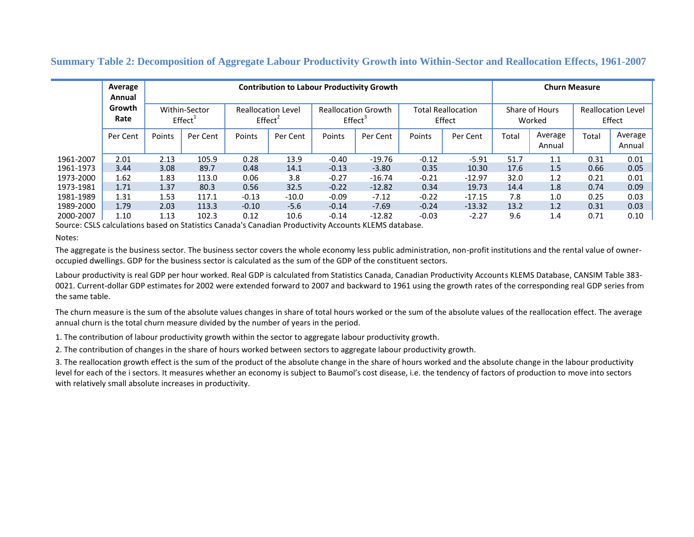#### **Summary Table 2: Decomposition of Aggregate Labour Productivity Growth into Within-Sector and Reallocation Effects, 1961-2007**

|           | Average<br>Annual                                      |        |                                                                                                          |         | <b>Contribution to Labour Productivity Growth</b> |                                     |          |                          |          |                                     | <b>Churn Measure</b> |       |                   |
|-----------|--------------------------------------------------------|--------|----------------------------------------------------------------------------------------------------------|---------|---------------------------------------------------|-------------------------------------|----------|--------------------------|----------|-------------------------------------|----------------------|-------|-------------------|
|           | Growth<br>Within-Sector<br>Rate<br>Effect <sup>1</sup> |        | <b>Reallocation Level</b><br><b>Reallocation Growth</b><br>$E$ ffect <sup>2</sup><br>Effect <sup>3</sup> |         |                                                   | <b>Total Reallocation</b><br>Effect |          | Share of Hours<br>Worked |          | <b>Reallocation Level</b><br>Effect |                      |       |                   |
|           | Per Cent                                               | Points | Per Cent                                                                                                 | Points  | Per Cent                                          | Points                              | Per Cent | Points                   | Per Cent | Total                               | Average<br>Annual    | Total | Average<br>Annual |
| 1961-2007 | 2.01                                                   | 2.13   | 105.9                                                                                                    | 0.28    | 13.9                                              | $-0.40$                             | $-19.76$ | $-0.12$                  | $-5.91$  | 51.7                                | 1.1                  | 0.31  | 0.01              |
| 1961-1973 | 3.44                                                   | 3.08   | 89.7                                                                                                     | 0.48    | 14.1                                              | $-0.13$                             | $-3.80$  | 0.35                     | 10.30    | 17.6                                | 1.5                  | 0.66  | 0.05              |
| 1973-2000 | 1.62                                                   | 1.83   | 113.0                                                                                                    | 0.06    | 3.8                                               | $-0.27$                             | $-16.74$ | $-0.21$                  | $-12.97$ | 32.0                                | 1.2                  | 0.21  | 0.01              |
| 1973-1981 | 1.71                                                   | 1.37   | 80.3                                                                                                     | 0.56    | 32.5                                              | $-0.22$                             | $-12.82$ | 0.34                     | 19.73    | 14.4                                | 1.8                  | 0.74  | 0.09              |
| 1981-1989 | 1.31                                                   | 1.53   | 117.1                                                                                                    | $-0.13$ | $-10.0$                                           | $-0.09$                             | $-7.12$  | $-0.22$                  | $-17.15$ | 7.8                                 | 1.0                  | 0.25  | 0.03              |
| 1989-2000 | 1.79                                                   | 2.03   | 113.3                                                                                                    | $-0.10$ | $-5.6$                                            | $-0.14$                             | $-7.69$  | $-0.24$                  | $-13.32$ | 13.2                                | 1.2                  | 0.31  | 0.03              |
| 2000-2007 | 1.10                                                   | 1.13   | 102.3                                                                                                    | 0.12    | 10.6                                              | $-0.14$                             | $-12.82$ | $-0.03$                  | $-2.27$  | 9.6                                 | 1.4                  | 0.71  | 0.10              |

<span id="page-24-0"></span>Source: CSLS calculations based on Statistics Canada's Canadian Productivity Accounts KLEMS database.

Notes:

The aggregate is the business sector. The business sector covers the whole economy less public administration, non-profit institutions and the rental value of owneroccupied dwellings. GDP for the business sector is calculated as the sum of the GDP of the constituent sectors.

Labour productivity is real GDP per hour worked. Real GDP is calculated from Statistics Canada, Canadian Productivity Accounts KLEMS Database, CANSIM Table 383- 0021. Current-dollar GDP estimates for 2002 were extended forward to 2007 and backward to 1961 using the growth rates of the corresponding real GDP series from the same table.

The churn measure is the sum of the absolute values changes in share of total hours worked or the sum of the absolute values of the reallocation effect. The average annual churn is the total churn measure divided by the number of years in the period.

1. The contribution of labour productivity growth within the sector to aggregate labour productivity growth.

2. The contribution of changes in the share of hours worked between sectors to aggregate labour productivity growth.

3. The reallocation growth effect is the sum of the product of the absolute change in the share of hours worked and the absolute change in the labour productivity level for each of the i sectors. It measures whether an economy is subject to Baumol's cost disease, i.e. the tendency of factors of production to move into sectors with relatively small absolute increases in productivity.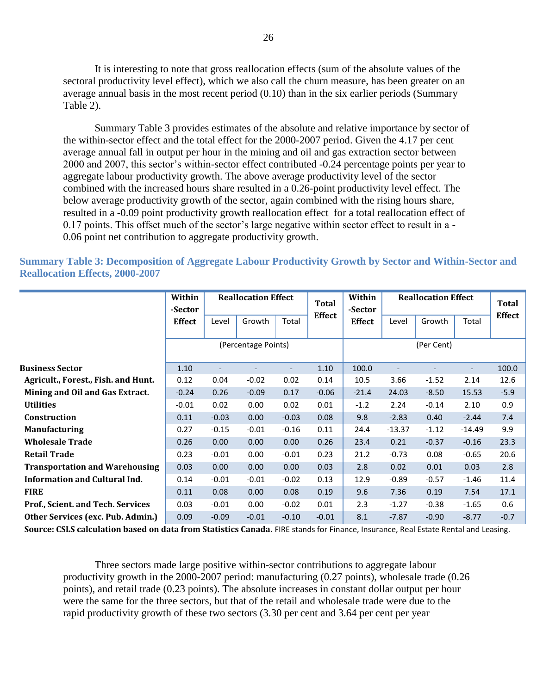It is interesting to note that gross reallocation effects (sum of the absolute values of the sectoral productivity level effect), which we also call the churn measure, has been greater on an average annual basis in the most recent period (0.10) than in the six earlier periods (Summary Table 2).

[Summary Table 3](#page-25-0) provides estimates of the absolute and relative importance by sector of the within-sector effect and the total effect for the 2000-2007 period. Given the 4.17 per cent average annual fall in output per hour in the mining and oil and gas extraction sector between 2000 and 2007, this sector's within-sector effect contributed -0.24 percentage points per year to aggregate labour productivity growth. The above average productivity level of the sector combined with the increased hours share resulted in a 0.26-point productivity level effect. The below average productivity growth of the sector, again combined with the rising hours share, resulted in a -0.09 point productivity growth reallocation effect for a total reallocation effect of 0.17 points. This offset much of the sector's large negative within sector effect to result in a - 0.06 point net contribution to aggregate productivity growth.

<span id="page-25-0"></span>**Summary Table 3: Decomposition of Aggregate Labour Productivity Growth by Sector and Within-Sector and Reallocation Effects, 2000-2007**

|                                          | Within<br>-Sector   | <b>Reallocation Effect</b> |         |         | <b>Total</b>  | Within<br>-Sector | <b>Reallocation Effect</b> |         |          | Total         |
|------------------------------------------|---------------------|----------------------------|---------|---------|---------------|-------------------|----------------------------|---------|----------|---------------|
|                                          | <b>Effect</b>       | Level                      | Growth  | Total   | <b>Effect</b> | <b>Effect</b>     | Level                      | Growth  | Total    | <b>Effect</b> |
|                                          | (Percentage Points) |                            |         |         |               |                   |                            |         |          |               |
| <b>Business Sector</b>                   | 1.10                |                            |         |         | 1.10          | 100.0             |                            |         |          | 100.0         |
| Agricult., Forest., Fish. and Hunt.      | 0.12                | 0.04                       | $-0.02$ | 0.02    | 0.14          | 10.5              | 3.66                       | $-1.52$ | 2.14     | 12.6          |
| Mining and Oil and Gas Extract.          | $-0.24$             | 0.26                       | $-0.09$ | 0.17    | $-0.06$       | $-21.4$           | 24.03                      | $-8.50$ | 15.53    | $-5.9$        |
| <b>Utilities</b>                         | $-0.01$             | 0.02                       | 0.00    | 0.02    | 0.01          | $-1.2$            | 2.24                       | $-0.14$ | 2.10     | 0.9           |
| <b>Construction</b>                      | 0.11                | $-0.03$                    | 0.00    | $-0.03$ | 0.08          | 9.8               | $-2.83$                    | 0.40    | $-2.44$  | 7.4           |
| <b>Manufacturing</b>                     | 0.27                | $-0.15$                    | $-0.01$ | $-0.16$ | 0.11          | 24.4              | $-13.37$                   | $-1.12$ | $-14.49$ | 9.9           |
| <b>Wholesale Trade</b>                   | 0.26                | 0.00                       | 0.00    | 0.00    | 0.26          | 23.4              | 0.21                       | $-0.37$ | $-0.16$  | 23.3          |
| <b>Retail Trade</b>                      | 0.23                | $-0.01$                    | 0.00    | $-0.01$ | 0.23          | 21.2              | $-0.73$                    | 0.08    | $-0.65$  | 20.6          |
| <b>Transportation and Warehousing</b>    | 0.03                | 0.00                       | 0.00    | 0.00    | 0.03          | 2.8               | 0.02                       | 0.01    | 0.03     | 2.8           |
| <b>Information and Cultural Ind.</b>     | 0.14                | $-0.01$                    | $-0.01$ | $-0.02$ | 0.13          | 12.9              | $-0.89$                    | $-0.57$ | $-1.46$  | 11.4          |
| <b>FIRE</b>                              | 0.11                | 0.08                       | 0.00    | 0.08    | 0.19          | 9.6               | 7.36                       | 0.19    | 7.54     | 17.1          |
| <b>Prof., Scient. and Tech. Services</b> | 0.03                | $-0.01$                    | 0.00    | $-0.02$ | 0.01          | 2.3               | $-1.27$                    | $-0.38$ | $-1.65$  | 0.6           |
| Other Services (exc. Pub. Admin.)        | 0.09                | $-0.09$                    | $-0.01$ | $-0.10$ | $-0.01$       | 8.1               | $-7.87$                    | $-0.90$ | $-8.77$  | $-0.7$        |

**Source: CSLS calculation based on data from Statistics Canada.** FIRE stands for Finance, Insurance, Real Estate Rental and Leasing.

Three sectors made large positive within-sector contributions to aggregate labour productivity growth in the 2000-2007 period: manufacturing (0.27 points), wholesale trade (0.26 points), and retail trade (0.23 points). The absolute increases in constant dollar output per hour were the same for the three sectors, but that of the retail and wholesale trade were due to the rapid productivity growth of these two sectors (3.30 per cent and 3.64 per cent per year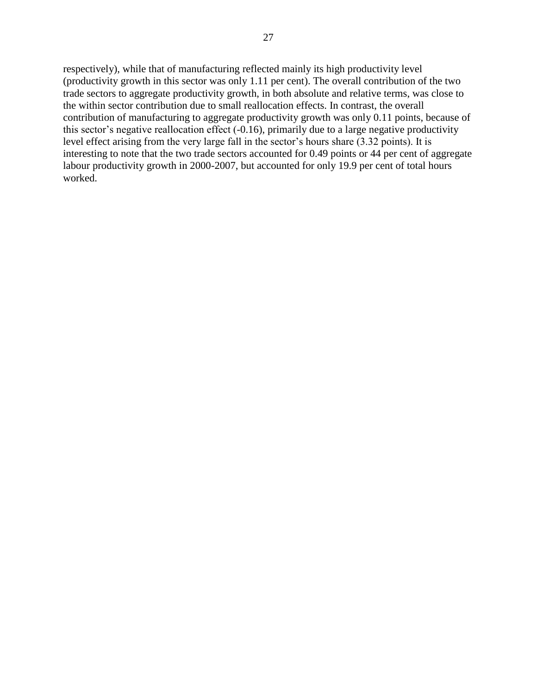respectively), while that of manufacturing reflected mainly its high productivity level (productivity growth in this sector was only 1.11 per cent). The overall contribution of the two trade sectors to aggregate productivity growth, in both absolute and relative terms, was close to the within sector contribution due to small reallocation effects. In contrast, the overall contribution of manufacturing to aggregate productivity growth was only 0.11 points, because of this sector's negative reallocation effect (-0.16), primarily due to a large negative productivity level effect arising from the very large fall in the sector's hours share (3.32 points). It is interesting to note that the two trade sectors accounted for 0.49 points or 44 per cent of aggregate labour productivity growth in 2000-2007, but accounted for only 19.9 per cent of total hours worked.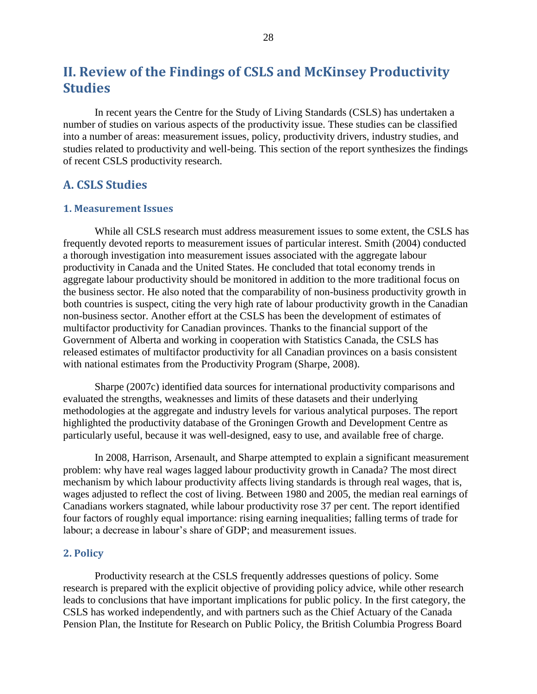# <span id="page-27-0"></span>**II. Review of the Findings of CSLS and McKinsey Productivity Studies**

In recent years the Centre for the Study of Living Standards (CSLS) has undertaken a number of studies on various aspects of the productivity issue. These studies can be classified into a number of areas: measurement issues, policy, productivity drivers, industry studies, and studies related to productivity and well-being. This section of the report synthesizes the findings of recent CSLS productivity research.

#### <span id="page-27-1"></span>**A. CSLS Studies**

#### <span id="page-27-2"></span>**1. Measurement Issues**

While all CSLS research must address measurement issues to some extent, the CSLS has frequently devoted reports to measurement issues of particular interest. Smith (2004) conducted a thorough investigation into measurement issues associated with the aggregate labour productivity in Canada and the United States. He concluded that total economy trends in aggregate labour productivity should be monitored in addition to the more traditional focus on the business sector. He also noted that the comparability of non-business productivity growth in both countries is suspect, citing the very high rate of labour productivity growth in the Canadian non-business sector. Another effort at the CSLS has been the development of estimates of multifactor productivity for Canadian provinces. Thanks to the financial support of the Government of Alberta and working in cooperation with Statistics Canada, the CSLS has released estimates of multifactor productivity for all Canadian provinces on a basis consistent with national estimates from the Productivity Program (Sharpe, 2008).

Sharpe (2007c) identified data sources for international productivity comparisons and evaluated the strengths, weaknesses and limits of these datasets and their underlying methodologies at the aggregate and industry levels for various analytical purposes. The report highlighted the productivity database of the Groningen Growth and Development Centre as particularly useful, because it was well-designed, easy to use, and available free of charge.

In 2008, Harrison, Arsenault, and Sharpe attempted to explain a significant measurement problem: why have real wages lagged labour productivity growth in Canada? The most direct mechanism by which labour productivity affects living standards is through real wages, that is, wages adjusted to reflect the cost of living. Between 1980 and 2005, the median real earnings of Canadians workers stagnated, while labour productivity rose 37 per cent. The report identified four factors of roughly equal importance: rising earning inequalities; falling terms of trade for labour; a decrease in labour's share of GDP; and measurement issues.

#### <span id="page-27-3"></span>**2. Policy**

Productivity research at the CSLS frequently addresses questions of policy. Some research is prepared with the explicit objective of providing policy advice, while other research leads to conclusions that have important implications for public policy. In the first category, the CSLS has worked independently, and with partners such as the Chief Actuary of the Canada Pension Plan, the Institute for Research on Public Policy, the British Columbia Progress Board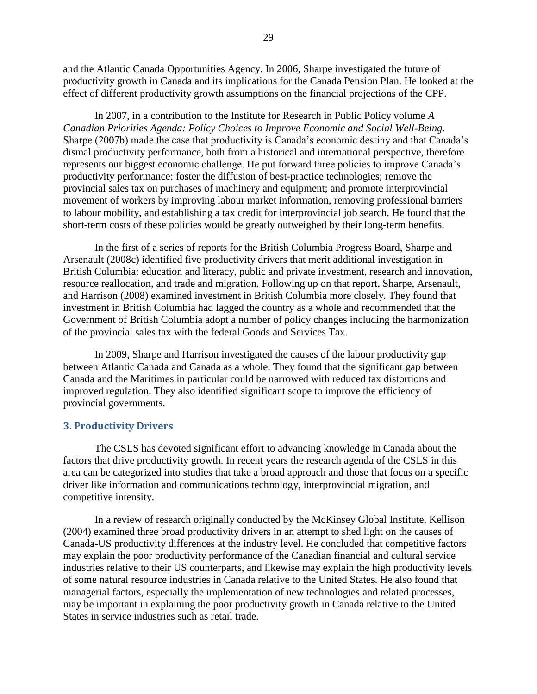and the Atlantic Canada Opportunities Agency. In 2006, Sharpe investigated the future of productivity growth in Canada and its implications for the Canada Pension Plan. He looked at the effect of different productivity growth assumptions on the financial projections of the CPP.

In 2007, in a contribution to the Institute for Research in Public Policy volume *A Canadian Priorities Agenda: Policy Choices to Improve Economic and Social Well-Being.*  Sharpe (2007b) made the case that productivity is Canada's economic destiny and that Canada's dismal productivity performance, both from a historical and international perspective, therefore represents our biggest economic challenge. He put forward three policies to improve Canada's productivity performance: foster the diffusion of best-practice technologies; remove the provincial sales tax on purchases of machinery and equipment; and promote interprovincial movement of workers by improving labour market information, removing professional barriers to labour mobility, and establishing a tax credit for interprovincial job search. He found that the short-term costs of these policies would be greatly outweighed by their long-term benefits.

In the first of a series of reports for the British Columbia Progress Board, Sharpe and Arsenault (2008c) identified five productivity drivers that merit additional investigation in British Columbia: education and literacy, public and private investment, research and innovation, resource reallocation, and trade and migration. Following up on that report, Sharpe, Arsenault, and Harrison (2008) examined investment in British Columbia more closely. They found that investment in British Columbia had lagged the country as a whole and recommended that the Government of British Columbia adopt a number of policy changes including the harmonization of the provincial sales tax with the federal Goods and Services Tax.

In 2009, Sharpe and Harrison investigated the causes of the labour productivity gap between Atlantic Canada and Canada as a whole. They found that the significant gap between Canada and the Maritimes in particular could be narrowed with reduced tax distortions and improved regulation. They also identified significant scope to improve the efficiency of provincial governments.

#### <span id="page-28-0"></span>**3. Productivity Drivers**

The CSLS has devoted significant effort to advancing knowledge in Canada about the factors that drive productivity growth. In recent years the research agenda of the CSLS in this area can be categorized into studies that take a broad approach and those that focus on a specific driver like information and communications technology, interprovincial migration, and competitive intensity.

In a review of research originally conducted by the McKinsey Global Institute, Kellison (2004) examined three broad productivity drivers in an attempt to shed light on the causes of Canada-US productivity differences at the industry level. He concluded that competitive factors may explain the poor productivity performance of the Canadian financial and cultural service industries relative to their US counterparts, and likewise may explain the high productivity levels of some natural resource industries in Canada relative to the United States. He also found that managerial factors, especially the implementation of new technologies and related processes, may be important in explaining the poor productivity growth in Canada relative to the United States in service industries such as retail trade.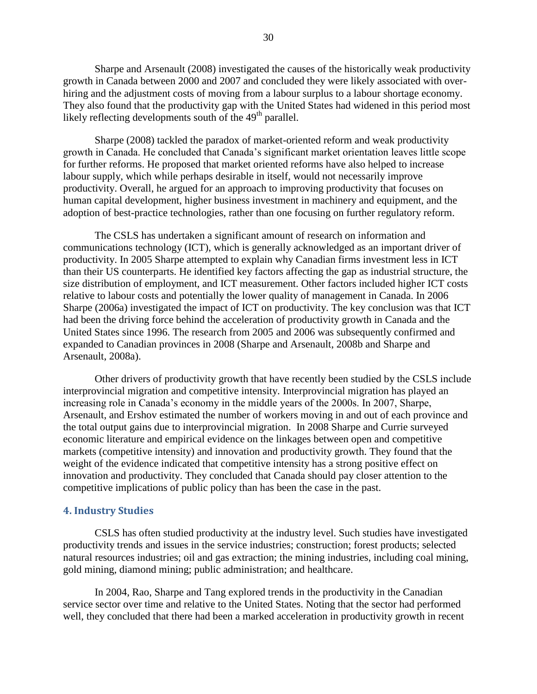Sharpe and Arsenault (2008) investigated the causes of the historically weak productivity growth in Canada between 2000 and 2007 and concluded they were likely associated with overhiring and the adjustment costs of moving from a labour surplus to a labour shortage economy. They also found that the productivity gap with the United States had widened in this period most likely reflecting developments south of the  $49<sup>th</sup>$  parallel.

Sharpe (2008) tackled the paradox of market-oriented reform and weak productivity growth in Canada. He concluded that Canada's significant market orientation leaves little scope for further reforms. He proposed that market oriented reforms have also helped to increase labour supply, which while perhaps desirable in itself, would not necessarily improve productivity. Overall, he argued for an approach to improving productivity that focuses on human capital development, higher business investment in machinery and equipment, and the adoption of best-practice technologies, rather than one focusing on further regulatory reform.

The CSLS has undertaken a significant amount of research on information and communications technology (ICT), which is generally acknowledged as an important driver of productivity. In 2005 Sharpe attempted to explain why Canadian firms investment less in ICT than their US counterparts. He identified key factors affecting the gap as industrial structure, the size distribution of employment, and ICT measurement. Other factors included higher ICT costs relative to labour costs and potentially the lower quality of management in Canada. In 2006 Sharpe (2006a) investigated the impact of ICT on productivity. The key conclusion was that ICT had been the driving force behind the acceleration of productivity growth in Canada and the United States since 1996. The research from 2005 and 2006 was subsequently confirmed and expanded to Canadian provinces in 2008 (Sharpe and Arsenault, 2008b and Sharpe and Arsenault, 2008a).

Other drivers of productivity growth that have recently been studied by the CSLS include interprovincial migration and competitive intensity. Interprovincial migration has played an increasing role in Canada's economy in the middle years of the 2000s. In 2007, Sharpe, Arsenault, and Ershov estimated the number of workers moving in and out of each province and the total output gains due to interprovincial migration. In 2008 Sharpe and Currie surveyed economic literature and empirical evidence on the linkages between open and competitive markets (competitive intensity) and innovation and productivity growth. They found that the weight of the evidence indicated that competitive intensity has a strong positive effect on innovation and productivity. They concluded that Canada should pay closer attention to the competitive implications of public policy than has been the case in the past.

#### <span id="page-29-0"></span>**4. Industry Studies**

CSLS has often studied productivity at the industry level. Such studies have investigated productivity trends and issues in the service industries; construction; forest products; selected natural resources industries; oil and gas extraction; the mining industries, including coal mining, gold mining, diamond mining; public administration; and healthcare.

In 2004, Rao, Sharpe and Tang explored trends in the productivity in the Canadian service sector over time and relative to the United States. Noting that the sector had performed well, they concluded that there had been a marked acceleration in productivity growth in recent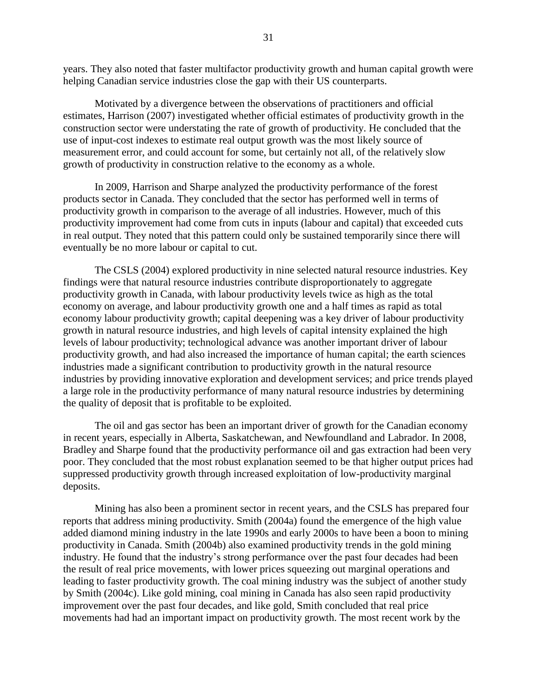years. They also noted that faster multifactor productivity growth and human capital growth were helping Canadian service industries close the gap with their US counterparts.

Motivated by a divergence between the observations of practitioners and official estimates, Harrison (2007) investigated whether official estimates of productivity growth in the construction sector were understating the rate of growth of productivity. He concluded that the use of input-cost indexes to estimate real output growth was the most likely source of measurement error, and could account for some, but certainly not all, of the relatively slow growth of productivity in construction relative to the economy as a whole.

In 2009, Harrison and Sharpe analyzed the productivity performance of the forest products sector in Canada. They concluded that the sector has performed well in terms of productivity growth in comparison to the average of all industries. However, much of this productivity improvement had come from cuts in inputs (labour and capital) that exceeded cuts in real output. They noted that this pattern could only be sustained temporarily since there will eventually be no more labour or capital to cut.

The CSLS (2004) explored productivity in nine selected natural resource industries. Key findings were that natural resource industries contribute disproportionately to aggregate productivity growth in Canada, with labour productivity levels twice as high as the total economy on average, and labour productivity growth one and a half times as rapid as total economy labour productivity growth; capital deepening was a key driver of labour productivity growth in natural resource industries, and high levels of capital intensity explained the high levels of labour productivity; technological advance was another important driver of labour productivity growth, and had also increased the importance of human capital; the earth sciences industries made a significant contribution to productivity growth in the natural resource industries by providing innovative exploration and development services; and price trends played a large role in the productivity performance of many natural resource industries by determining the quality of deposit that is profitable to be exploited.

The oil and gas sector has been an important driver of growth for the Canadian economy in recent years, especially in Alberta, Saskatchewan, and Newfoundland and Labrador. In 2008, Bradley and Sharpe found that the productivity performance oil and gas extraction had been very poor. They concluded that the most robust explanation seemed to be that higher output prices had suppressed productivity growth through increased exploitation of low-productivity marginal deposits.

Mining has also been a prominent sector in recent years, and the CSLS has prepared four reports that address mining productivity. Smith (2004a) found the emergence of the high value added diamond mining industry in the late 1990s and early 2000s to have been a boon to mining productivity in Canada. Smith (2004b) also examined productivity trends in the gold mining industry. He found that the industry's strong performance over the past four decades had been the result of real price movements, with lower prices squeezing out marginal operations and leading to faster productivity growth. The coal mining industry was the subject of another study by Smith (2004c). Like gold mining, coal mining in Canada has also seen rapid productivity improvement over the past four decades, and like gold, Smith concluded that real price movements had had an important impact on productivity growth. The most recent work by the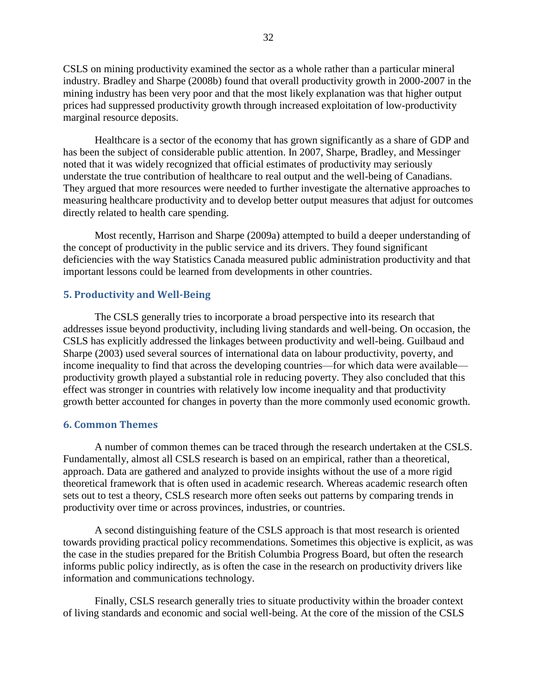CSLS on mining productivity examined the sector as a whole rather than a particular mineral industry. Bradley and Sharpe (2008b) found that overall productivity growth in 2000-2007 in the mining industry has been very poor and that the most likely explanation was that higher output prices had suppressed productivity growth through increased exploitation of low-productivity marginal resource deposits.

Healthcare is a sector of the economy that has grown significantly as a share of GDP and has been the subject of considerable public attention. In 2007, Sharpe, Bradley, and Messinger noted that it was widely recognized that official estimates of productivity may seriously understate the true contribution of healthcare to real output and the well-being of Canadians. They argued that more resources were needed to further investigate the alternative approaches to measuring healthcare productivity and to develop better output measures that adjust for outcomes directly related to health care spending.

Most recently, Harrison and Sharpe (2009a) attempted to build a deeper understanding of the concept of productivity in the public service and its drivers. They found significant deficiencies with the way Statistics Canada measured public administration productivity and that important lessons could be learned from developments in other countries.

#### <span id="page-31-0"></span>**5. Productivity and Well-Being**

The CSLS generally tries to incorporate a broad perspective into its research that addresses issue beyond productivity, including living standards and well-being. On occasion, the CSLS has explicitly addressed the linkages between productivity and well-being. Guilbaud and Sharpe (2003) used several sources of international data on labour productivity, poverty, and income inequality to find that across the developing countries—for which data were available productivity growth played a substantial role in reducing poverty. They also concluded that this effect was stronger in countries with relatively low income inequality and that productivity growth better accounted for changes in poverty than the more commonly used economic growth.

#### <span id="page-31-1"></span>**6. Common Themes**

A number of common themes can be traced through the research undertaken at the CSLS. Fundamentally, almost all CSLS research is based on an empirical, rather than a theoretical, approach. Data are gathered and analyzed to provide insights without the use of a more rigid theoretical framework that is often used in academic research. Whereas academic research often sets out to test a theory, CSLS research more often seeks out patterns by comparing trends in productivity over time or across provinces, industries, or countries.

A second distinguishing feature of the CSLS approach is that most research is oriented towards providing practical policy recommendations. Sometimes this objective is explicit, as was the case in the studies prepared for the British Columbia Progress Board, but often the research informs public policy indirectly, as is often the case in the research on productivity drivers like information and communications technology.

Finally, CSLS research generally tries to situate productivity within the broader context of living standards and economic and social well-being. At the core of the mission of the CSLS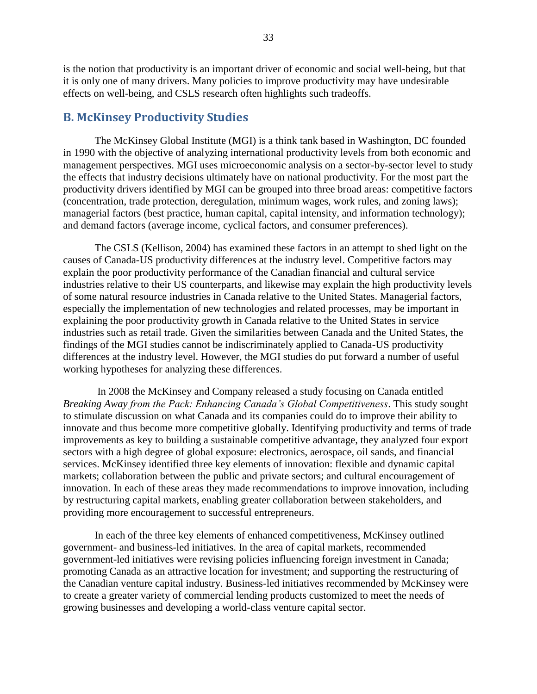is the notion that productivity is an important driver of economic and social well-being, but that it is only one of many drivers. Many policies to improve productivity may have undesirable effects on well-being, and CSLS research often highlights such tradeoffs.

#### <span id="page-32-0"></span>**B. McKinsey Productivity Studies**

The McKinsey Global Institute (MGI) is a think tank based in Washington, DC founded in 1990 with the objective of analyzing international productivity levels from both economic and management perspectives. MGI uses microeconomic analysis on a sector-by-sector level to study the effects that industry decisions ultimately have on national productivity. For the most part the productivity drivers identified by MGI can be grouped into three broad areas: competitive factors (concentration, trade protection, deregulation, minimum wages, work rules, and zoning laws); managerial factors (best practice, human capital, capital intensity, and information technology); and demand factors (average income, cyclical factors, and consumer preferences).

The CSLS (Kellison, 2004) has examined these factors in an attempt to shed light on the causes of Canada-US productivity differences at the industry level. Competitive factors may explain the poor productivity performance of the Canadian financial and cultural service industries relative to their US counterparts, and likewise may explain the high productivity levels of some natural resource industries in Canada relative to the United States. Managerial factors, especially the implementation of new technologies and related processes, may be important in explaining the poor productivity growth in Canada relative to the United States in service industries such as retail trade. Given the similarities between Canada and the United States, the findings of the MGI studies cannot be indiscriminately applied to Canada-US productivity differences at the industry level. However, the MGI studies do put forward a number of useful working hypotheses for analyzing these differences.

In 2008 the McKinsey and Company released a study focusing on Canada entitled *Breaking Away from the Pack: Enhancing Canada's Global Competitiveness*. This study sought to stimulate discussion on what Canada and its companies could do to improve their ability to innovate and thus become more competitive globally. Identifying productivity and terms of trade improvements as key to building a sustainable competitive advantage, they analyzed four export sectors with a high degree of global exposure: electronics, aerospace, oil sands, and financial services. McKinsey identified three key elements of innovation: flexible and dynamic capital markets; collaboration between the public and private sectors; and cultural encouragement of innovation. In each of these areas they made recommendations to improve innovation, including by restructuring capital markets, enabling greater collaboration between stakeholders, and providing more encouragement to successful entrepreneurs.

In each of the three key elements of enhanced competitiveness, McKinsey outlined government- and business-led initiatives. In the area of capital markets, recommended government-led initiatives were revising policies influencing foreign investment in Canada; promoting Canada as an attractive location for investment; and supporting the restructuring of the Canadian venture capital industry. Business-led initiatives recommended by McKinsey were to create a greater variety of commercial lending products customized to meet the needs of growing businesses and developing a world-class venture capital sector.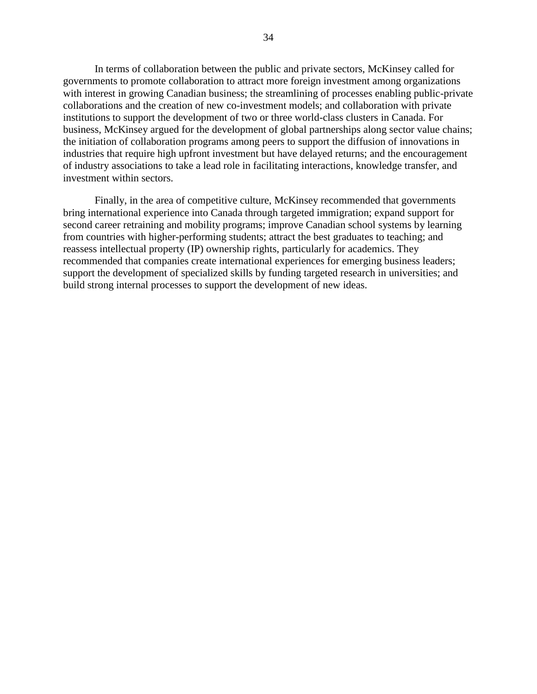In terms of collaboration between the public and private sectors, McKinsey called for governments to promote collaboration to attract more foreign investment among organizations with interest in growing Canadian business; the streamlining of processes enabling public-private collaborations and the creation of new co-investment models; and collaboration with private institutions to support the development of two or three world-class clusters in Canada. For business, McKinsey argued for the development of global partnerships along sector value chains; the initiation of collaboration programs among peers to support the diffusion of innovations in industries that require high upfront investment but have delayed returns; and the encouragement of industry associations to take a lead role in facilitating interactions, knowledge transfer, and investment within sectors.

Finally, in the area of competitive culture, McKinsey recommended that governments bring international experience into Canada through targeted immigration; expand support for second career retraining and mobility programs; improve Canadian school systems by learning from countries with higher-performing students; attract the best graduates to teaching; and reassess intellectual property (IP) ownership rights, particularly for academics. They recommended that companies create international experiences for emerging business leaders; support the development of specialized skills by funding targeted research in universities; and build strong internal processes to support the development of new ideas.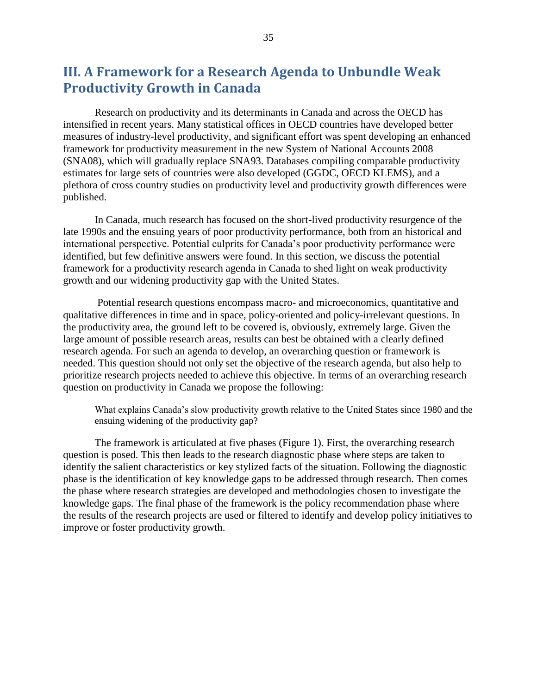# <span id="page-34-0"></span>**III. A Framework for a Research Agenda to Unbundle Weak Productivity Growth in Canada**

Research on productivity and its determinants in Canada and across the OECD has intensified in recent years. Many statistical offices in OECD countries have developed better measures of industry-level productivity, and significant effort was spent developing an enhanced framework for productivity measurement in the new System of National Accounts 2008 (SNA08), which will gradually replace SNA93. Databases compiling comparable productivity estimates for large sets of countries were also developed (GGDC, OECD KLEMS), and a plethora of cross country studies on productivity level and productivity growth differences were published.

In Canada, much research has focused on the short-lived productivity resurgence of the late 1990s and the ensuing years of poor productivity performance, both from an historical and international perspective. Potential culprits for Canada's poor productivity performance were identified, but few definitive answers were found. In this section, we discuss the potential framework for a productivity research agenda in Canada to shed light on weak productivity growth and our widening productivity gap with the United States.

Potential research questions encompass macro- and microeconomics, quantitative and qualitative differences in time and in space, policy-oriented and policy-irrelevant questions. In the productivity area, the ground left to be covered is, obviously, extremely large. Given the large amount of possible research areas, results can best be obtained with a clearly defined research agenda. For such an agenda to develop, an overarching question or framework is needed. This question should not only set the objective of the research agenda, but also help to prioritize research projects needed to achieve this objective. In terms of an overarching research question on productivity in Canada we propose the following:

What explains Canada's slow productivity growth relative to the United States since 1980 and the ensuing widening of the productivity gap?

The framework is articulated at five phases (Figure 1). First, the overarching research question is posed. This then leads to the research diagnostic phase where steps are taken to identify the salient characteristics or key stylized facts of the situation. Following the diagnostic phase is the identification of key knowledge gaps to be addressed through research. Then comes the phase where research strategies are developed and methodologies chosen to investigate the knowledge gaps. The final phase of the framework is the policy recommendation phase where the results of the research projects are used or filtered to identify and develop policy initiatives to improve or foster productivity growth.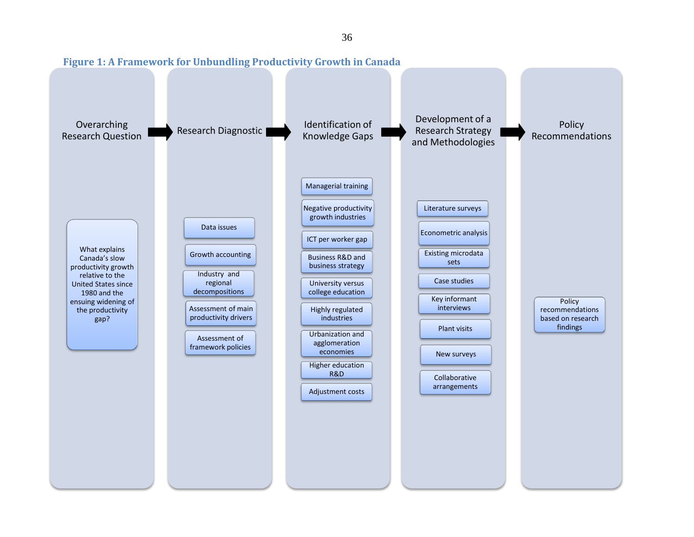<span id="page-35-0"></span>

36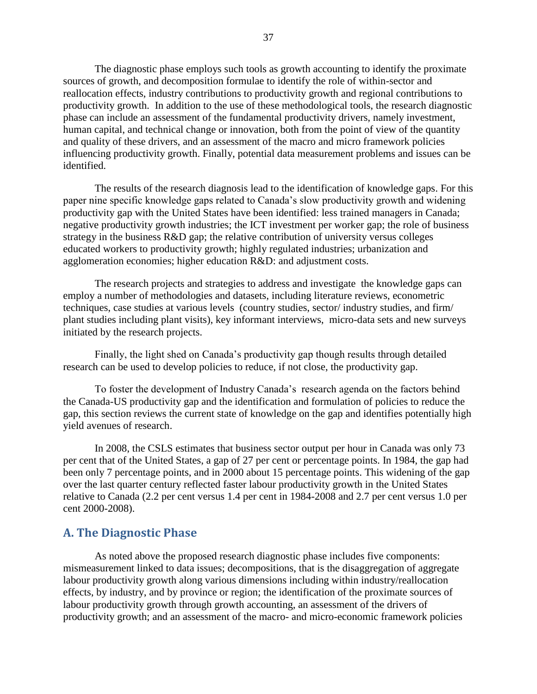The diagnostic phase employs such tools as growth accounting to identify the proximate sources of growth, and decomposition formulae to identify the role of within-sector and reallocation effects, industry contributions to productivity growth and regional contributions to productivity growth. In addition to the use of these methodological tools, the research diagnostic phase can include an assessment of the fundamental productivity drivers, namely investment, human capital, and technical change or innovation, both from the point of view of the quantity and quality of these drivers, and an assessment of the macro and micro framework policies influencing productivity growth. Finally, potential data measurement problems and issues can be identified.

The results of the research diagnosis lead to the identification of knowledge gaps. For this paper nine specific knowledge gaps related to Canada's slow productivity growth and widening productivity gap with the United States have been identified: less trained managers in Canada; negative productivity growth industries; the ICT investment per worker gap; the role of business strategy in the business R&D gap; the relative contribution of university versus colleges educated workers to productivity growth; highly regulated industries; urbanization and agglomeration economies; higher education R&D: and adjustment costs.

The research projects and strategies to address and investigate the knowledge gaps can employ a number of methodologies and datasets, including literature reviews, econometric techniques, case studies at various levels (country studies, sector/ industry studies, and firm/ plant studies including plant visits), key informant interviews, micro-data sets and new surveys initiated by the research projects.

Finally, the light shed on Canada's productivity gap though results through detailed research can be used to develop policies to reduce, if not close, the productivity gap.

To foster the development of Industry Canada's research agenda on the factors behind the Canada-US productivity gap and the identification and formulation of policies to reduce the gap, this section reviews the current state of knowledge on the gap and identifies potentially high yield avenues of research.

In 2008, the CSLS estimates that business sector output per hour in Canada was only 73 per cent that of the United States, a gap of 27 per cent or percentage points. In 1984, the gap had been only 7 percentage points, and in 2000 about 15 percentage points. This widening of the gap over the last quarter century reflected faster labour productivity growth in the United States relative to Canada (2.2 per cent versus 1.4 per cent in 1984-2008 and 2.7 per cent versus 1.0 per cent 2000-2008).

#### <span id="page-36-0"></span>**A. The Diagnostic Phase**

As noted above the proposed research diagnostic phase includes five components: mismeasurement linked to data issues; decompositions, that is the disaggregation of aggregate labour productivity growth along various dimensions including within industry/reallocation effects, by industry, and by province or region; the identification of the proximate sources of labour productivity growth through growth accounting, an assessment of the drivers of productivity growth; and an assessment of the macro- and micro-economic framework policies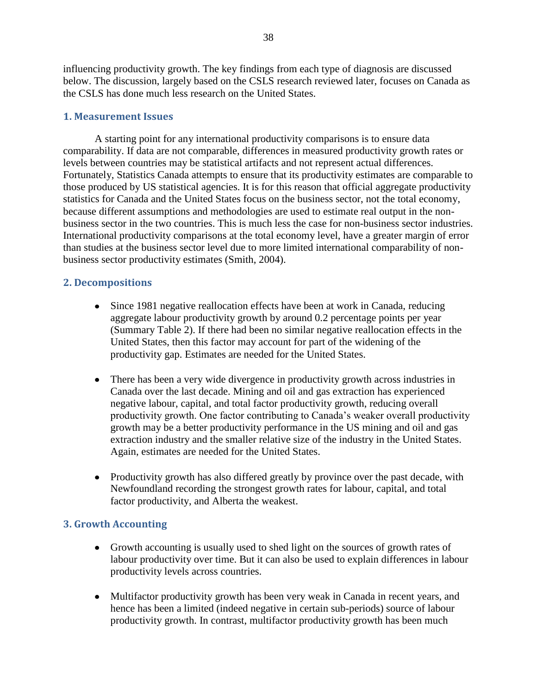influencing productivity growth. The key findings from each type of diagnosis are discussed below. The discussion, largely based on the CSLS research reviewed later, focuses on Canada as the CSLS has done much less research on the United States.

#### <span id="page-37-0"></span>**1. Measurement Issues**

A starting point for any international productivity comparisons is to ensure data comparability. If data are not comparable, differences in measured productivity growth rates or levels between countries may be statistical artifacts and not represent actual differences. Fortunately, Statistics Canada attempts to ensure that its productivity estimates are comparable to those produced by US statistical agencies. It is for this reason that official aggregate productivity statistics for Canada and the United States focus on the business sector, not the total economy, because different assumptions and methodologies are used to estimate real output in the nonbusiness sector in the two countries. This is much less the case for non-business sector industries. International productivity comparisons at the total economy level, have a greater margin of error than studies at the business sector level due to more limited international comparability of nonbusiness sector productivity estimates (Smith, 2004).

#### <span id="page-37-1"></span>**2. Decompositions**

- Since 1981 negative reallocation effects have been at work in Canada, reducing aggregate labour productivity growth by around 0.2 percentage points per year (Summary Table 2). If there had been no similar negative reallocation effects in the United States, then this factor may account for part of the widening of the productivity gap. Estimates are needed for the United States.
- There has been a very wide divergence in productivity growth across industries in Canada over the last decade. Mining and oil and gas extraction has experienced negative labour, capital, and total factor productivity growth, reducing overall productivity growth. One factor contributing to Canada's weaker overall productivity growth may be a better productivity performance in the US mining and oil and gas extraction industry and the smaller relative size of the industry in the United States. Again, estimates are needed for the United States.
- Productivity growth has also differed greatly by province over the past decade, with Newfoundland recording the strongest growth rates for labour, capital, and total factor productivity, and Alberta the weakest.

#### <span id="page-37-2"></span>**3. Growth Accounting**

- Growth accounting is usually used to shed light on the sources of growth rates of labour productivity over time. But it can also be used to explain differences in labour productivity levels across countries.
- Multifactor productivity growth has been very weak in Canada in recent years, and hence has been a limited (indeed negative in certain sub-periods) source of labour productivity growth. In contrast, multifactor productivity growth has been much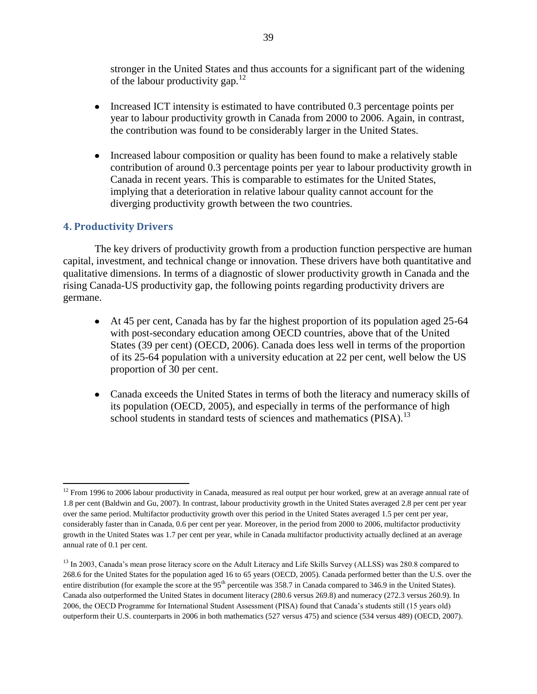stronger in the United States and thus accounts for a significant part of the widening of the labour productivity gap.<sup>12</sup>

- Increased ICT intensity is estimated to have contributed 0.3 percentage points per year to labour productivity growth in Canada from 2000 to 2006. Again, in contrast, the contribution was found to be considerably larger in the United States.
- Increased labour composition or quality has been found to make a relatively stable contribution of around 0.3 percentage points per year to labour productivity growth in Canada in recent years. This is comparable to estimates for the United States, implying that a deterioration in relative labour quality cannot account for the diverging productivity growth between the two countries.

#### <span id="page-38-0"></span>**4. Productivity Drivers**

 $\overline{\phantom{a}}$ 

The key drivers of productivity growth from a production function perspective are human capital, investment, and technical change or innovation. These drivers have both quantitative and qualitative dimensions. In terms of a diagnostic of slower productivity growth in Canada and the rising Canada-US productivity gap, the following points regarding productivity drivers are germane.

- At 45 per cent, Canada has by far the highest proportion of its population aged 25-64 with post-secondary education among OECD countries, above that of the United States (39 per cent) (OECD, 2006). Canada does less well in terms of the proportion of its 25-64 population with a university education at 22 per cent, well below the US proportion of 30 per cent.
- Canada exceeds the United States in terms of both the literacy and numeracy skills of its population (OECD, 2005), and especially in terms of the performance of high school students in standard tests of sciences and mathematics ( $PISA$ ).<sup>13</sup>

 $12$  From 1996 to 2006 labour productivity in Canada, measured as real output per hour worked, grew at an average annual rate of 1.8 per cent (Baldwin and Gu, 2007). In contrast, labour productivity growth in the United States averaged 2.8 per cent per year over the same period. Multifactor productivity growth over this period in the United States averaged 1.5 per cent per year, considerably faster than in Canada, 0.6 per cent per year. Moreover, in the period from 2000 to 2006, multifactor productivity growth in the United States was 1.7 per cent per year, while in Canada multifactor productivity actually declined at an average annual rate of 0.1 per cent.

<sup>&</sup>lt;sup>13</sup> In 2003, Canada's mean prose literacy score on the Adult Literacy and Life Skills Survey (ALLSS) was 280.8 compared to 268.6 for the United States for the population aged 16 to 65 years (OECD, 2005). Canada performed better than the U.S. over the entire distribution (for example the score at the  $95<sup>th</sup>$  percentile was 358.7 in Canada compared to 346.9 in the United States). Canada also outperformed the United States in document literacy (280.6 versus 269.8) and numeracy (272.3 versus 260.9). In 2006, the OECD Programme for International Student Assessment (PISA) found that Canada's students still (15 years old) outperform their U.S. counterparts in 2006 in both mathematics (527 versus 475) and science (534 versus 489) (OECD, 2007).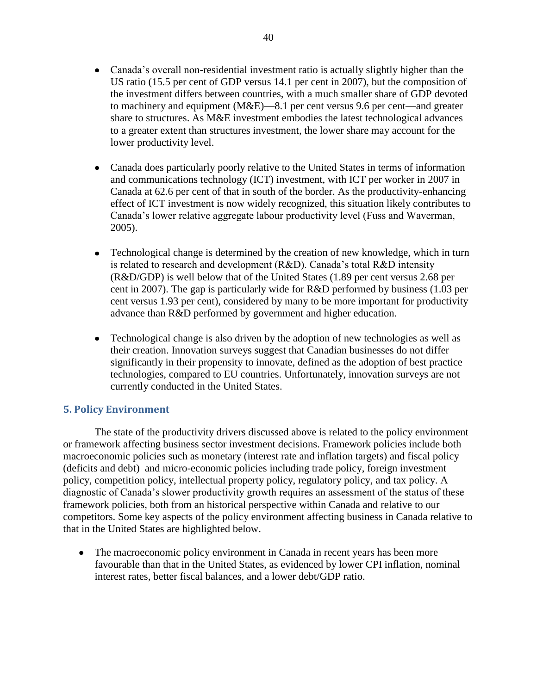- Canada does particularly poorly relative to the United States in terms of information and communications technology (ICT) investment, with ICT per worker in 2007 in Canada at 62.6 per cent of that in south of the border. As the productivity-enhancing effect of ICT investment is now widely recognized, this situation likely contributes to Canada's lower relative aggregate labour productivity level (Fuss and Waverman, 2005).
- Technological change is determined by the creation of new knowledge, which in turn is related to research and development (R&D). Canada's total R&D intensity (R&D/GDP) is well below that of the United States (1.89 per cent versus 2.68 per cent in 2007). The gap is particularly wide for R&D performed by business (1.03 per cent versus 1.93 per cent), considered by many to be more important for productivity advance than R&D performed by government and higher education.
- Technological change is also driven by the adoption of new technologies as well as their creation. Innovation surveys suggest that Canadian businesses do not differ significantly in their propensity to innovate, defined as the adoption of best practice technologies, compared to EU countries. Unfortunately, innovation surveys are not currently conducted in the United States.

#### <span id="page-39-0"></span>**5. Policy Environment**

lower productivity level.

The state of the productivity drivers discussed above is related to the policy environment or framework affecting business sector investment decisions. Framework policies include both macroeconomic policies such as monetary (interest rate and inflation targets) and fiscal policy (deficits and debt) and micro-economic policies including trade policy, foreign investment policy, competition policy, intellectual property policy, regulatory policy, and tax policy. A diagnostic of Canada's slower productivity growth requires an assessment of the status of these framework policies, both from an historical perspective within Canada and relative to our competitors. Some key aspects of the policy environment affecting business in Canada relative to that in the United States are highlighted below.

The macroeconomic policy environment in Canada in recent years has been more  $\bullet$ favourable than that in the United States, as evidenced by lower CPI inflation, nominal interest rates, better fiscal balances, and a lower debt/GDP ratio.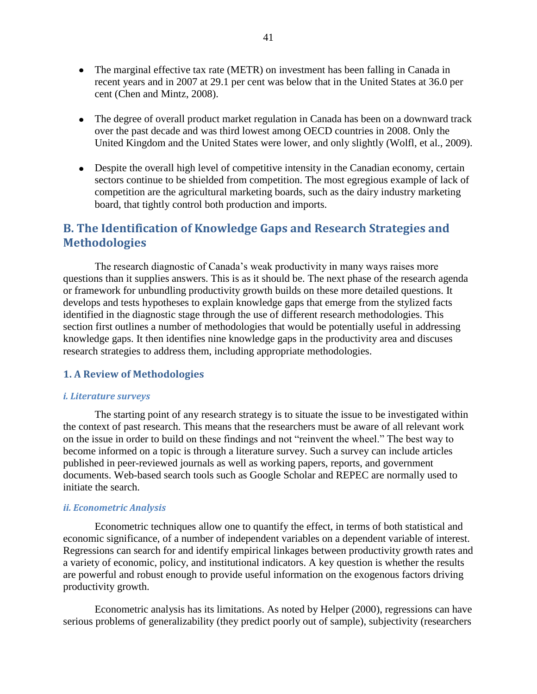- The marginal effective tax rate (METR) on investment has been falling in Canada in recent years and in 2007 at 29.1 per cent was below that in the United States at 36.0 per cent (Chen and Mintz, 2008).
- The degree of overall product market regulation in Canada has been on a downward track over the past decade and was third lowest among OECD countries in 2008. Only the United Kingdom and the United States were lower, and only slightly (Wolfl, et al., 2009).
- Despite the overall high level of competitive intensity in the Canadian economy, certain sectors continue to be shielded from competition. The most egregious example of lack of competition are the agricultural marketing boards, such as the dairy industry marketing board, that tightly control both production and imports.

### <span id="page-40-0"></span>**B. The Identification of Knowledge Gaps and Research Strategies and Methodologies**

The research diagnostic of Canada's weak productivity in many ways raises more questions than it supplies answers. This is as it should be. The next phase of the research agenda or framework for unbundling productivity growth builds on these more detailed questions. It develops and tests hypotheses to explain knowledge gaps that emerge from the stylized facts identified in the diagnostic stage through the use of different research methodologies. This section first outlines a number of methodologies that would be potentially useful in addressing knowledge gaps. It then identifies nine knowledge gaps in the productivity area and discuses research strategies to address them, including appropriate methodologies.

#### <span id="page-40-1"></span>**1. A Review of Methodologies**

#### <span id="page-40-2"></span>*i. Literature surveys*

The starting point of any research strategy is to situate the issue to be investigated within the context of past research. This means that the researchers must be aware of all relevant work on the issue in order to build on these findings and not "reinvent the wheel." The best way to become informed on a topic is through a literature survey. Such a survey can include articles published in peer-reviewed journals as well as working papers, reports, and government documents. Web-based search tools such as Google Scholar and REPEC are normally used to initiate the search.

#### <span id="page-40-3"></span>*ii. Econometric Analysis*

Econometric techniques allow one to quantify the effect, in terms of both statistical and economic significance, of a number of independent variables on a dependent variable of interest. Regressions can search for and identify empirical linkages between productivity growth rates and a variety of economic, policy, and institutional indicators. A key question is whether the results are powerful and robust enough to provide useful information on the exogenous factors driving productivity growth.

Econometric analysis has its limitations. As noted by Helper (2000), regressions can have serious problems of generalizability (they predict poorly out of sample), subjectivity (researchers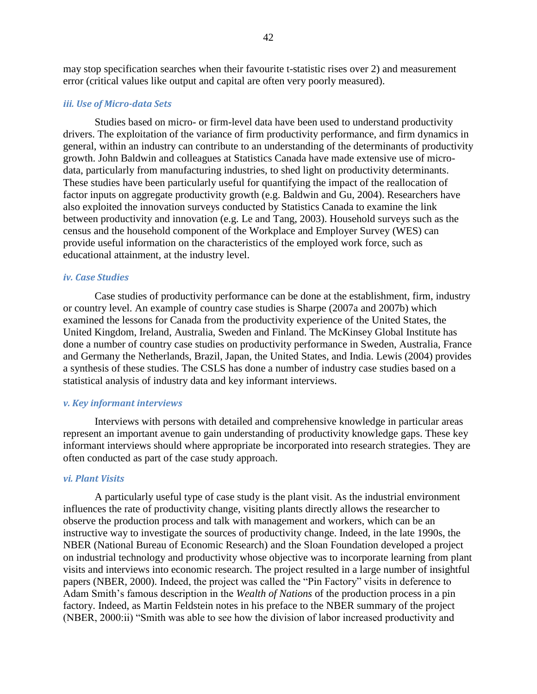may stop specification searches when their favourite t-statistic rises over 2) and measurement error (critical values like output and capital are often very poorly measured).

#### <span id="page-41-0"></span>*iii. Use of Micro-data Sets*

Studies based on micro- or firm-level data have been used to understand productivity drivers. The exploitation of the variance of firm productivity performance, and firm dynamics in general, within an industry can contribute to an understanding of the determinants of productivity growth. John Baldwin and colleagues at Statistics Canada have made extensive use of microdata, particularly from manufacturing industries, to shed light on productivity determinants. These studies have been particularly useful for quantifying the impact of the reallocation of factor inputs on aggregate productivity growth (e.g. Baldwin and Gu, 2004). Researchers have also exploited the innovation surveys conducted by Statistics Canada to examine the link between productivity and innovation (e.g. Le and Tang, 2003). Household surveys such as the census and the household component of the Workplace and Employer Survey (WES) can provide useful information on the characteristics of the employed work force, such as educational attainment, at the industry level.

#### <span id="page-41-1"></span>*iv. Case Studies*

Case studies of productivity performance can be done at the establishment, firm, industry or country level. An example of country case studies is Sharpe (2007a and 2007b) which examined the lessons for Canada from the productivity experience of the United States, the United Kingdom, Ireland, Australia, Sweden and Finland. The McKinsey Global Institute has done a number of country case studies on productivity performance in Sweden, Australia, France and Germany the Netherlands, Brazil, Japan, the United States, and India. Lewis (2004) provides a synthesis of these studies. The CSLS has done a number of industry case studies based on a statistical analysis of industry data and key informant interviews.

#### <span id="page-41-2"></span>*v. Key informant interviews*

Interviews with persons with detailed and comprehensive knowledge in particular areas represent an important avenue to gain understanding of productivity knowledge gaps. These key informant interviews should where appropriate be incorporated into research strategies. They are often conducted as part of the case study approach.

#### <span id="page-41-3"></span>*vi. Plant Visits*

A particularly useful type of case study is the plant visit. As the industrial environment influences the rate of productivity change, visiting plants directly allows the researcher to observe the production process and talk with management and workers, which can be an instructive way to investigate the sources of productivity change. Indeed, in the late 1990s, the NBER (National Bureau of Economic Research) and the Sloan Foundation developed a project on industrial technology and productivity whose objective was to incorporate learning from plant visits and interviews into economic research. The project resulted in a large number of insightful papers (NBER, 2000). Indeed, the project was called the "Pin Factory" visits in deference to Adam Smith's famous description in the *Wealth of Nations* of the production process in a pin factory. Indeed, as Martin Feldstein notes in his preface to the NBER summary of the project (NBER, 2000:ii) "Smith was able to see how the division of labor increased productivity and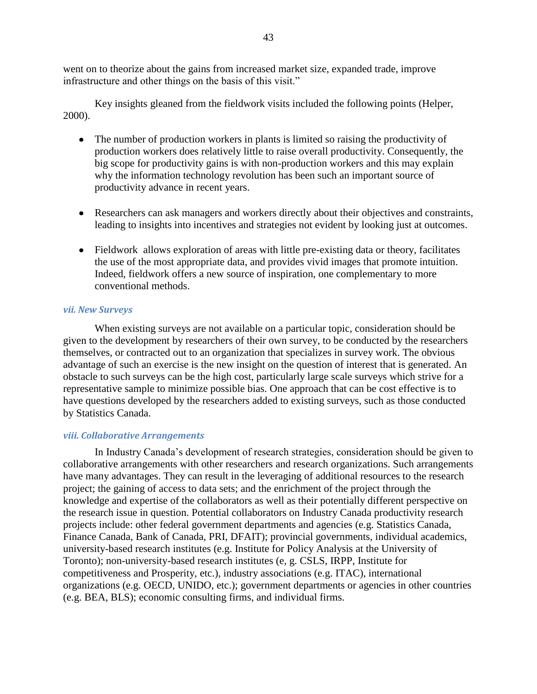went on to theorize about the gains from increased market size, expanded trade, improve infrastructure and other things on the basis of this visit."

Key insights gleaned from the fieldwork visits included the following points (Helper, 2000).

- The number of production workers in plants is limited so raising the productivity of production workers does relatively little to raise overall productivity. Consequently, the big scope for productivity gains is with non-production workers and this may explain why the information technology revolution has been such an important source of productivity advance in recent years.
- Researchers can ask managers and workers directly about their objectives and constraints, leading to insights into incentives and strategies not evident by looking just at outcomes.
- Fieldwork allows exploration of areas with little pre-existing data or theory, facilitates the use of the most appropriate data, and provides vivid images that promote intuition. Indeed, fieldwork offers a new source of inspiration, one complementary to more conventional methods.

#### <span id="page-42-0"></span>*vii. New Surveys*

When existing surveys are not available on a particular topic, consideration should be given to the development by researchers of their own survey, to be conducted by the researchers themselves, or contracted out to an organization that specializes in survey work. The obvious advantage of such an exercise is the new insight on the question of interest that is generated. An obstacle to such surveys can be the high cost, particularly large scale surveys which strive for a representative sample to minimize possible bias. One approach that can be cost effective is to have questions developed by the researchers added to existing surveys, such as those conducted by Statistics Canada.

#### <span id="page-42-1"></span>*viii. Collaborative Arrangements*

In Industry Canada's development of research strategies, consideration should be given to collaborative arrangements with other researchers and research organizations. Such arrangements have many advantages. They can result in the leveraging of additional resources to the research project; the gaining of access to data sets; and the enrichment of the project through the knowledge and expertise of the collaborators as well as their potentially different perspective on the research issue in question. Potential collaborators on Industry Canada productivity research projects include: other federal government departments and agencies (e.g. Statistics Canada, Finance Canada, Bank of Canada, PRI, DFAIT); provincial governments, individual academics, university-based research institutes (e.g. Institute for Policy Analysis at the University of Toronto); non-university-based research institutes (e, g. CSLS, IRPP, Institute for competitiveness and Prosperity, etc.), industry associations (e.g. ITAC), international organizations (e.g. OECD, UNIDO, etc.); government departments or agencies in other countries (e.g. BEA, BLS); economic consulting firms, and individual firms.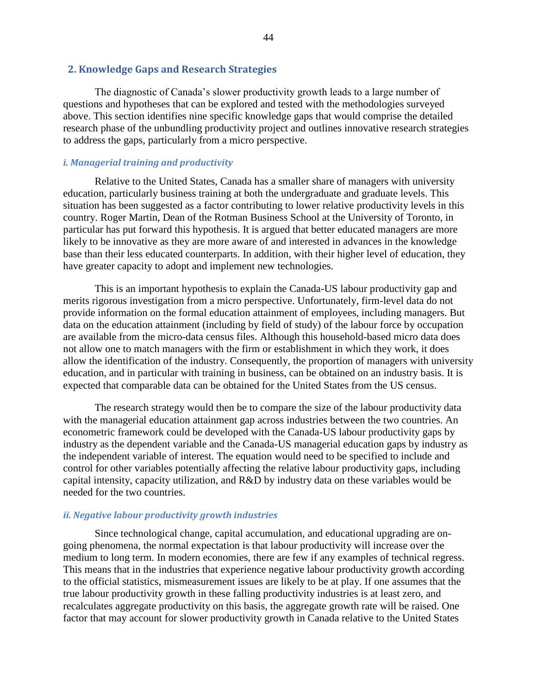#### <span id="page-43-0"></span> **2. Knowledge Gaps and Research Strategies**

The diagnostic of Canada's slower productivity growth leads to a large number of questions and hypotheses that can be explored and tested with the methodologies surveyed above. This section identifies nine specific knowledge gaps that would comprise the detailed research phase of the unbundling productivity project and outlines innovative research strategies to address the gaps, particularly from a micro perspective.

#### <span id="page-43-1"></span>*i. Managerial training and productivity*

Relative to the United States, Canada has a smaller share of managers with university education, particularly business training at both the undergraduate and graduate levels. This situation has been suggested as a factor contributing to lower relative productivity levels in this country. Roger Martin, Dean of the Rotman Business School at the University of Toronto, in particular has put forward this hypothesis. It is argued that better educated managers are more likely to be innovative as they are more aware of and interested in advances in the knowledge base than their less educated counterparts. In addition, with their higher level of education, they have greater capacity to adopt and implement new technologies.

This is an important hypothesis to explain the Canada-US labour productivity gap and merits rigorous investigation from a micro perspective. Unfortunately, firm-level data do not provide information on the formal education attainment of employees, including managers. But data on the education attainment (including by field of study) of the labour force by occupation are available from the micro-data census files. Although this household-based micro data does not allow one to match managers with the firm or establishment in which they work, it does allow the identification of the industry. Consequently, the proportion of managers with university education, and in particular with training in business, can be obtained on an industry basis. It is expected that comparable data can be obtained for the United States from the US census.

The research strategy would then be to compare the size of the labour productivity data with the managerial education attainment gap across industries between the two countries. An econometric framework could be developed with the Canada-US labour productivity gaps by industry as the dependent variable and the Canada-US managerial education gaps by industry as the independent variable of interest. The equation would need to be specified to include and control for other variables potentially affecting the relative labour productivity gaps, including capital intensity, capacity utilization, and R&D by industry data on these variables would be needed for the two countries.

#### <span id="page-43-2"></span>*ii. Negative labour productivity growth industries*

Since technological change, capital accumulation, and educational upgrading are ongoing phenomena, the normal expectation is that labour productivity will increase over the medium to long term. In modern economies, there are few if any examples of technical regress. This means that in the industries that experience negative labour productivity growth according to the official statistics, mismeasurement issues are likely to be at play. If one assumes that the true labour productivity growth in these falling productivity industries is at least zero, and recalculates aggregate productivity on this basis, the aggregate growth rate will be raised. One factor that may account for slower productivity growth in Canada relative to the United States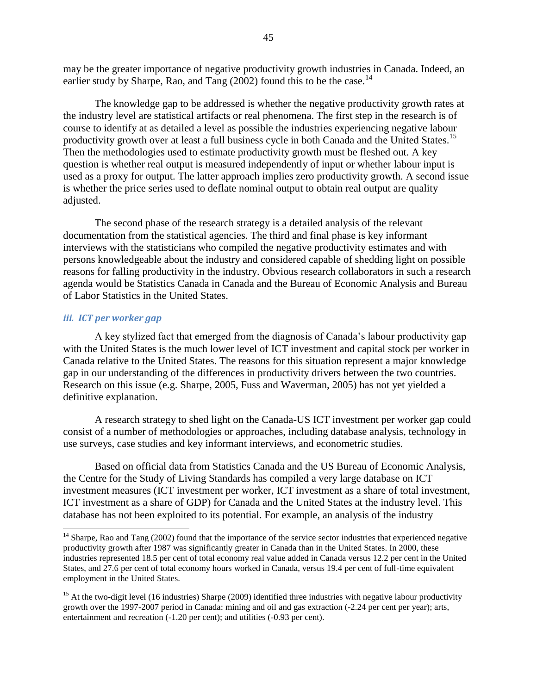may be the greater importance of negative productivity growth industries in Canada. Indeed, an earlier study by Sharpe, Rao, and Tang  $(2002)$  found this to be the case.<sup>14</sup>

The knowledge gap to be addressed is whether the negative productivity growth rates at the industry level are statistical artifacts or real phenomena. The first step in the research is of course to identify at as detailed a level as possible the industries experiencing negative labour productivity growth over at least a full business cycle in both Canada and the United States.<sup>15</sup> Then the methodologies used to estimate productivity growth must be fleshed out. A key question is whether real output is measured independently of input or whether labour input is used as a proxy for output. The latter approach implies zero productivity growth. A second issue is whether the price series used to deflate nominal output to obtain real output are quality adjusted.

The second phase of the research strategy is a detailed analysis of the relevant documentation from the statistical agencies. The third and final phase is key informant interviews with the statisticians who compiled the negative productivity estimates and with persons knowledgeable about the industry and considered capable of shedding light on possible reasons for falling productivity in the industry. Obvious research collaborators in such a research agenda would be Statistics Canada in Canada and the Bureau of Economic Analysis and Bureau of Labor Statistics in the United States.

#### <span id="page-44-0"></span>*iii. ICT per worker gap*

 $\overline{\phantom{a}}$ 

A key stylized fact that emerged from the diagnosis of Canada's labour productivity gap with the United States is the much lower level of ICT investment and capital stock per worker in Canada relative to the United States. The reasons for this situation represent a major knowledge gap in our understanding of the differences in productivity drivers between the two countries. Research on this issue (e.g. Sharpe, 2005, Fuss and Waverman, 2005) has not yet yielded a definitive explanation.

A research strategy to shed light on the Canada-US ICT investment per worker gap could consist of a number of methodologies or approaches, including database analysis, technology in use surveys, case studies and key informant interviews, and econometric studies.

Based on official data from Statistics Canada and the US Bureau of Economic Analysis, the Centre for the Study of Living Standards has compiled a very large database on ICT investment measures (ICT investment per worker, ICT investment as a share of total investment, ICT investment as a share of GDP) for Canada and the United States at the industry level. This database has not been exploited to its potential. For example, an analysis of the industry

 $14$  Sharpe, Rao and Tang (2002) found that the importance of the service sector industries that experienced negative productivity growth after 1987 was significantly greater in Canada than in the United States. In 2000, these industries represented 18.5 per cent of total economy real value added in Canada versus 12.2 per cent in the United States, and 27.6 per cent of total economy hours worked in Canada, versus 19.4 per cent of full-time equivalent employment in the United States.

<sup>&</sup>lt;sup>15</sup> At the two-digit level (16 industries) Sharpe (2009) identified three industries with negative labour productivity growth over the 1997-2007 period in Canada: mining and oil and gas extraction (-2.24 per cent per year); arts, entertainment and recreation (-1.20 per cent); and utilities (-0.93 per cent).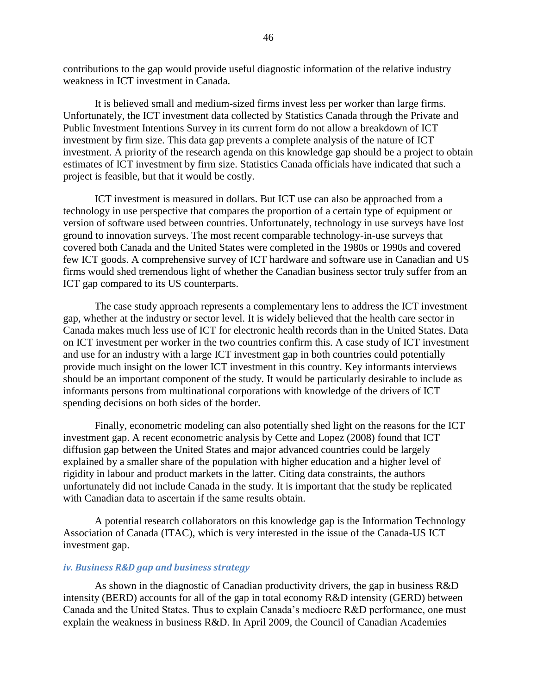contributions to the gap would provide useful diagnostic information of the relative industry weakness in ICT investment in Canada.

It is believed small and medium-sized firms invest less per worker than large firms. Unfortunately, the ICT investment data collected by Statistics Canada through the Private and Public Investment Intentions Survey in its current form do not allow a breakdown of ICT investment by firm size. This data gap prevents a complete analysis of the nature of ICT investment. A priority of the research agenda on this knowledge gap should be a project to obtain estimates of ICT investment by firm size. Statistics Canada officials have indicated that such a project is feasible, but that it would be costly.

ICT investment is measured in dollars. But ICT use can also be approached from a technology in use perspective that compares the proportion of a certain type of equipment or version of software used between countries. Unfortunately, technology in use surveys have lost ground to innovation surveys. The most recent comparable technology-in-use surveys that covered both Canada and the United States were completed in the 1980s or 1990s and covered few ICT goods. A comprehensive survey of ICT hardware and software use in Canadian and US firms would shed tremendous light of whether the Canadian business sector truly suffer from an ICT gap compared to its US counterparts.

The case study approach represents a complementary lens to address the ICT investment gap, whether at the industry or sector level. It is widely believed that the health care sector in Canada makes much less use of ICT for electronic health records than in the United States. Data on ICT investment per worker in the two countries confirm this. A case study of ICT investment and use for an industry with a large ICT investment gap in both countries could potentially provide much insight on the lower ICT investment in this country. Key informants interviews should be an important component of the study. It would be particularly desirable to include as informants persons from multinational corporations with knowledge of the drivers of ICT spending decisions on both sides of the border.

Finally, econometric modeling can also potentially shed light on the reasons for the ICT investment gap. A recent econometric analysis by Cette and Lopez (2008) found that ICT diffusion gap between the United States and major advanced countries could be largely explained by a smaller share of the population with higher education and a higher level of rigidity in labour and product markets in the latter. Citing data constraints, the authors unfortunately did not include Canada in the study. It is important that the study be replicated with Canadian data to ascertain if the same results obtain.

A potential research collaborators on this knowledge gap is the Information Technology Association of Canada (ITAC), which is very interested in the issue of the Canada-US ICT investment gap.

#### <span id="page-45-0"></span>*iv. Business R&D gap and business strategy*

As shown in the diagnostic of Canadian productivity drivers, the gap in business R&D intensity (BERD) accounts for all of the gap in total economy R&D intensity (GERD) between Canada and the United States. Thus to explain Canada's mediocre R&D performance, one must explain the weakness in business R&D. In April 2009, the Council of Canadian Academies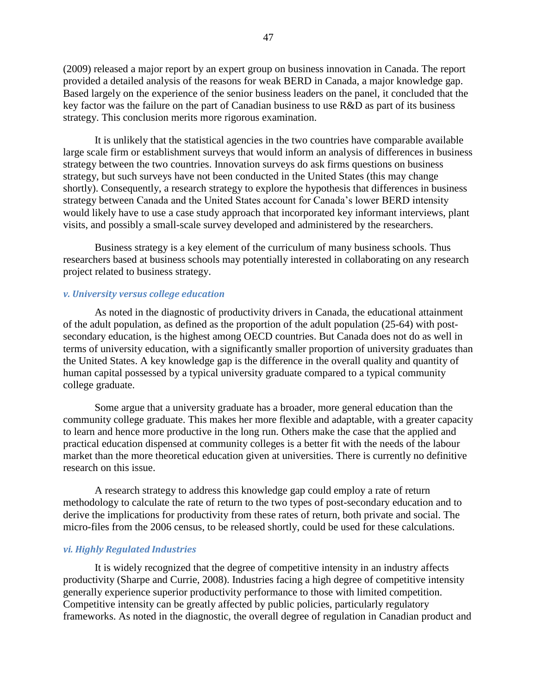(2009) released a major report by an expert group on business innovation in Canada. The report provided a detailed analysis of the reasons for weak BERD in Canada, a major knowledge gap. Based largely on the experience of the senior business leaders on the panel, it concluded that the key factor was the failure on the part of Canadian business to use R&D as part of its business strategy. This conclusion merits more rigorous examination.

It is unlikely that the statistical agencies in the two countries have comparable available large scale firm or establishment surveys that would inform an analysis of differences in business strategy between the two countries. Innovation surveys do ask firms questions on business strategy, but such surveys have not been conducted in the United States (this may change shortly). Consequently, a research strategy to explore the hypothesis that differences in business strategy between Canada and the United States account for Canada's lower BERD intensity would likely have to use a case study approach that incorporated key informant interviews, plant visits, and possibly a small-scale survey developed and administered by the researchers.

Business strategy is a key element of the curriculum of many business schools. Thus researchers based at business schools may potentially interested in collaborating on any research project related to business strategy.

#### <span id="page-46-0"></span>*v. University versus college education*

As noted in the diagnostic of productivity drivers in Canada, the educational attainment of the adult population, as defined as the proportion of the adult population (25-64) with postsecondary education, is the highest among OECD countries. But Canada does not do as well in terms of university education, with a significantly smaller proportion of university graduates than the United States. A key knowledge gap is the difference in the overall quality and quantity of human capital possessed by a typical university graduate compared to a typical community college graduate.

Some argue that a university graduate has a broader, more general education than the community college graduate. This makes her more flexible and adaptable, with a greater capacity to learn and hence more productive in the long run. Others make the case that the applied and practical education dispensed at community colleges is a better fit with the needs of the labour market than the more theoretical education given at universities. There is currently no definitive research on this issue.

A research strategy to address this knowledge gap could employ a rate of return methodology to calculate the rate of return to the two types of post-secondary education and to derive the implications for productivity from these rates of return, both private and social. The micro-files from the 2006 census, to be released shortly, could be used for these calculations.

#### <span id="page-46-1"></span>*vi. Highly Regulated Industries*

It is widely recognized that the degree of competitive intensity in an industry affects productivity (Sharpe and Currie, 2008). Industries facing a high degree of competitive intensity generally experience superior productivity performance to those with limited competition. Competitive intensity can be greatly affected by public policies, particularly regulatory frameworks. As noted in the diagnostic, the overall degree of regulation in Canadian product and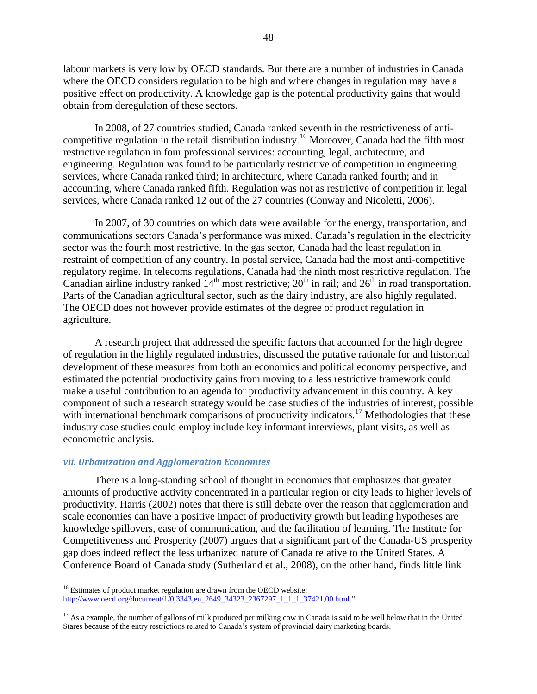labour markets is very low by OECD standards. But there are a number of industries in Canada where the OECD considers regulation to be high and where changes in regulation may have a positive effect on productivity. A knowledge gap is the potential productivity gains that would obtain from deregulation of these sectors.

In 2008, of 27 countries studied, Canada ranked seventh in the restrictiveness of anticompetitive regulation in the retail distribution industry.<sup>16</sup> Moreover, Canada had the fifth most restrictive regulation in four professional services: accounting, legal, architecture, and engineering. Regulation was found to be particularly restrictive of competition in engineering services, where Canada ranked third; in architecture, where Canada ranked fourth; and in accounting, where Canada ranked fifth. Regulation was not as restrictive of competition in legal services, where Canada ranked 12 out of the 27 countries (Conway and Nicoletti, 2006).

In 2007, of 30 countries on which data were available for the energy, transportation, and communications sectors Canada's performance was mixed. Canada's regulation in the electricity sector was the fourth most restrictive. In the gas sector, Canada had the least regulation in restraint of competition of any country. In postal service, Canada had the most anti-competitive regulatory regime. In telecoms regulations, Canada had the ninth most restrictive regulation. The Canadian airline industry ranked  $14<sup>th</sup>$  most restrictive;  $20<sup>th</sup>$  in rail; and  $26<sup>th</sup>$  in road transportation. Parts of the Canadian agricultural sector, such as the dairy industry, are also highly regulated. The OECD does not however provide estimates of the degree of product regulation in agriculture.

A research project that addressed the specific factors that accounted for the high degree of regulation in the highly regulated industries, discussed the putative rationale for and historical development of these measures from both an economics and political economy perspective, and estimated the potential productivity gains from moving to a less restrictive framework could make a useful contribution to an agenda for productivity advancement in this country. A key component of such a research strategy would be case studies of the industries of interest, possible with international benchmark comparisons of productivity indicators.<sup>17</sup> Methodologies that these industry case studies could employ include key informant interviews, plant visits, as well as econometric analysis.

#### <span id="page-47-0"></span>*vii. Urbanization and Agglomeration Economies*

l

There is a long-standing school of thought in economics that emphasizes that greater amounts of productive activity concentrated in a particular region or city leads to higher levels of productivity. Harris (2002) notes that there is still debate over the reason that agglomeration and scale economies can have a positive impact of productivity growth but leading hypotheses are knowledge spillovers, ease of communication, and the facilitation of learning. The Institute for Competitiveness and Prosperity (2007) argues that a significant part of the Canada-US prosperity gap does indeed reflect the less urbanized nature of Canada relative to the United States. A Conference Board of Canada study (Sutherland et al., 2008), on the other hand, finds little link

<sup>&</sup>lt;sup>16</sup> Estimates of product market regulation are drawn from the OECD website: http://www.oecd.org/document/1/0,3343.en\_2649\_34323\_2367297\_1\_1\_1\_37421,00.html."

 $17$  As a example, the number of gallons of milk produced per milking cow in Canada is said to be well below that in the United Stares because of the entry restrictions related to Canada's system of provincial dairy marketing boards.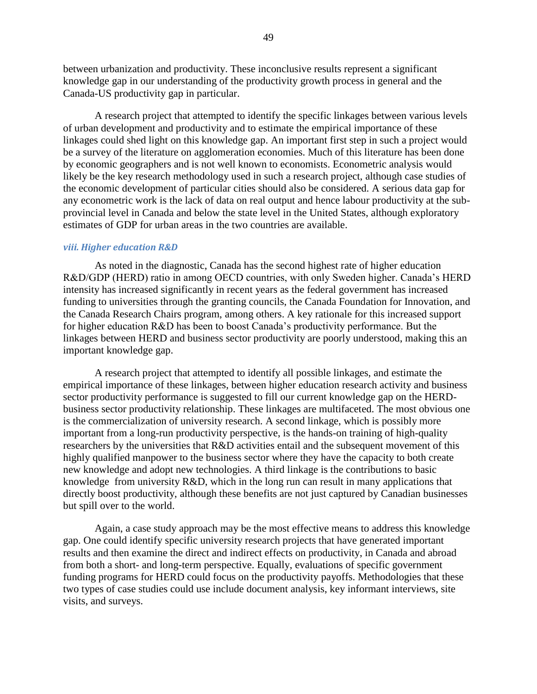between urbanization and productivity. These inconclusive results represent a significant knowledge gap in our understanding of the productivity growth process in general and the Canada-US productivity gap in particular.

A research project that attempted to identify the specific linkages between various levels of urban development and productivity and to estimate the empirical importance of these linkages could shed light on this knowledge gap. An important first step in such a project would be a survey of the literature on agglomeration economies. Much of this literature has been done by economic geographers and is not well known to economists. Econometric analysis would likely be the key research methodology used in such a research project, although case studies of the economic development of particular cities should also be considered. A serious data gap for any econometric work is the lack of data on real output and hence labour productivity at the subprovincial level in Canada and below the state level in the United States, although exploratory estimates of GDP for urban areas in the two countries are available.

#### <span id="page-48-0"></span>*viii. Higher education R&D*

As noted in the diagnostic, Canada has the second highest rate of higher education R&D/GDP (HERD) ratio in among OECD countries, with only Sweden higher. Canada's HERD intensity has increased significantly in recent years as the federal government has increased funding to universities through the granting councils, the Canada Foundation for Innovation, and the Canada Research Chairs program, among others. A key rationale for this increased support for higher education R&D has been to boost Canada's productivity performance. But the linkages between HERD and business sector productivity are poorly understood, making this an important knowledge gap.

A research project that attempted to identify all possible linkages, and estimate the empirical importance of these linkages, between higher education research activity and business sector productivity performance is suggested to fill our current knowledge gap on the HERDbusiness sector productivity relationship. These linkages are multifaceted. The most obvious one is the commercialization of university research. A second linkage, which is possibly more important from a long-run productivity perspective, is the hands-on training of high-quality researchers by the universities that R&D activities entail and the subsequent movement of this highly qualified manpower to the business sector where they have the capacity to both create new knowledge and adopt new technologies. A third linkage is the contributions to basic knowledge from university R&D, which in the long run can result in many applications that directly boost productivity, although these benefits are not just captured by Canadian businesses but spill over to the world.

Again, a case study approach may be the most effective means to address this knowledge gap. One could identify specific university research projects that have generated important results and then examine the direct and indirect effects on productivity, in Canada and abroad from both a short- and long-term perspective. Equally, evaluations of specific government funding programs for HERD could focus on the productivity payoffs. Methodologies that these two types of case studies could use include document analysis, key informant interviews, site visits, and surveys.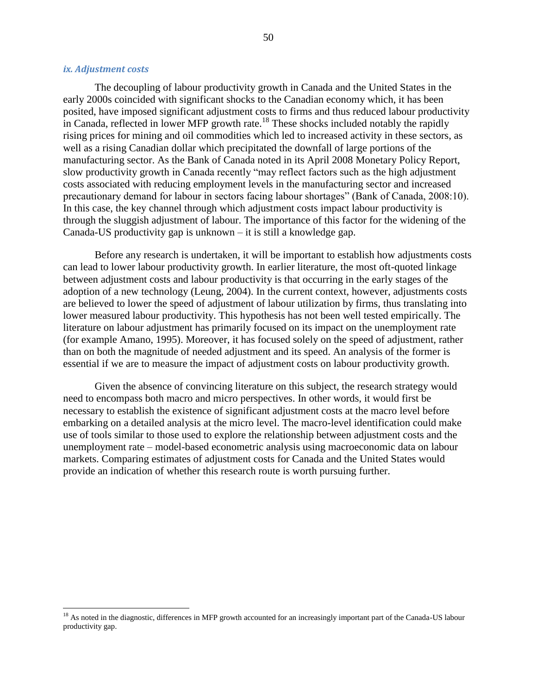#### <span id="page-49-0"></span>*ix. Adjustment costs*

 $\overline{a}$ 

The decoupling of labour productivity growth in Canada and the United States in the early 2000s coincided with significant shocks to the Canadian economy which, it has been posited, have imposed significant adjustment costs to firms and thus reduced labour productivity in Canada, reflected in lower MFP growth rate.<sup>18</sup> These shocks included notably the rapidly rising prices for mining and oil commodities which led to increased activity in these sectors, as well as a rising Canadian dollar which precipitated the downfall of large portions of the manufacturing sector. As the Bank of Canada noted in its April 2008 Monetary Policy Report, slow productivity growth in Canada recently "may reflect factors such as the high adjustment costs associated with reducing employment levels in the manufacturing sector and increased precautionary demand for labour in sectors facing labour shortages" (Bank of Canada, 2008:10). In this case, the key channel through which adjustment costs impact labour productivity is through the sluggish adjustment of labour. The importance of this factor for the widening of the Canada-US productivity gap is unknown – it is still a knowledge gap.

Before any research is undertaken, it will be important to establish how adjustments costs can lead to lower labour productivity growth. In earlier literature, the most oft-quoted linkage between adjustment costs and labour productivity is that occurring in the early stages of the adoption of a new technology (Leung, 2004). In the current context, however, adjustments costs are believed to lower the speed of adjustment of labour utilization by firms, thus translating into lower measured labour productivity. This hypothesis has not been well tested empirically. The literature on labour adjustment has primarily focused on its impact on the unemployment rate (for example Amano, 1995). Moreover, it has focused solely on the speed of adjustment, rather than on both the magnitude of needed adjustment and its speed. An analysis of the former is essential if we are to measure the impact of adjustment costs on labour productivity growth.

Given the absence of convincing literature on this subject, the research strategy would need to encompass both macro and micro perspectives. In other words, it would first be necessary to establish the existence of significant adjustment costs at the macro level before embarking on a detailed analysis at the micro level. The macro-level identification could make use of tools similar to those used to explore the relationship between adjustment costs and the unemployment rate – model-based econometric analysis using macroeconomic data on labour markets. Comparing estimates of adjustment costs for Canada and the United States would provide an indication of whether this research route is worth pursuing further.

<sup>&</sup>lt;sup>18</sup> As noted in the diagnostic, differences in MFP growth accounted for an increasingly important part of the Canada-US labour productivity gap.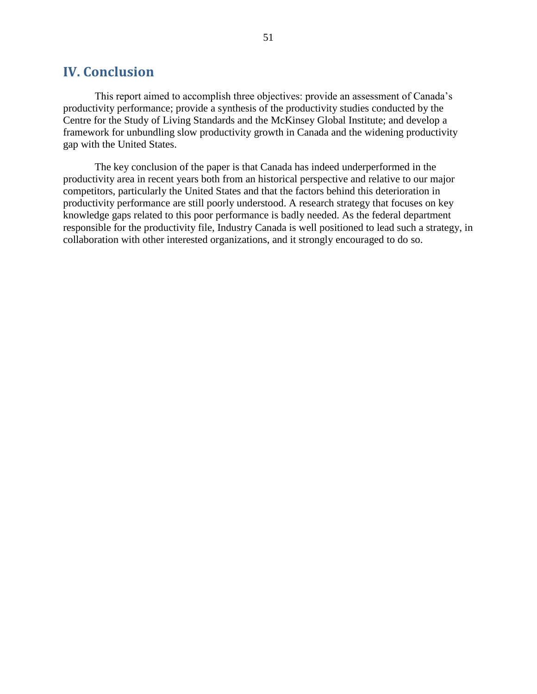### <span id="page-50-0"></span>**IV. Conclusion**

This report aimed to accomplish three objectives: provide an assessment of Canada's productivity performance; provide a synthesis of the productivity studies conducted by the Centre for the Study of Living Standards and the McKinsey Global Institute; and develop a framework for unbundling slow productivity growth in Canada and the widening productivity gap with the United States.

The key conclusion of the paper is that Canada has indeed underperformed in the productivity area in recent years both from an historical perspective and relative to our major competitors, particularly the United States and that the factors behind this deterioration in productivity performance are still poorly understood. A research strategy that focuses on key knowledge gaps related to this poor performance is badly needed. As the federal department responsible for the productivity file, Industry Canada is well positioned to lead such a strategy, in collaboration with other interested organizations, and it strongly encouraged to do so.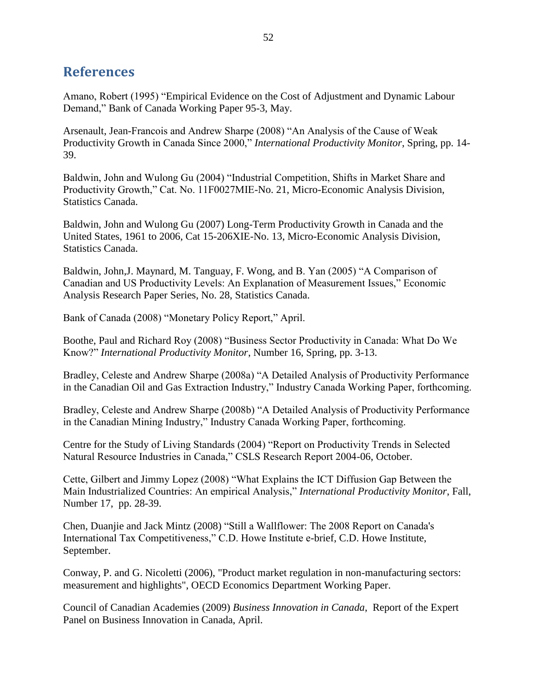# <span id="page-51-0"></span>**References**

Amano, Robert (1995) "Empirical Evidence on the Cost of Adjustment and Dynamic Labour Demand," Bank of Canada Working Paper 95-3, May.

Arsenault, Jean-Francois and Andrew Sharpe (2008) "An Analysis of the Cause of Weak Productivity Growth in Canada Since 2000," *International Productivity Monitor*, Spring, pp. 14-39.

Baldwin, John and Wulong Gu (2004) "Industrial Competition, Shifts in Market Share and Productivity Growth," Cat. No. 11F0027MIE-No. 21, Micro-Economic Analysis Division, Statistics Canada.

Baldwin, John and Wulong Gu (2007) Long-Term Productivity Growth in Canada and the United States, 1961 to 2006, Cat 15-206XIE-No. 13, Micro-Economic Analysis Division, Statistics Canada.

Baldwin, John,J. Maynard, M. Tanguay, F. Wong, and B. Yan (2005) "A Comparison of Canadian and US Productivity Levels: An Explanation of Measurement Issues," Economic Analysis Research Paper Series, No. 28, Statistics Canada.

Bank of Canada (2008) "Monetary Policy Report," April.

Boothe, Paul and Richard Roy (2008) "Business Sector Productivity in Canada: What Do We Know?‖ *International Productivity Monitor*, Number 16, Spring, pp. 3-13.

Bradley, Celeste and Andrew Sharpe (2008a) "A Detailed Analysis of Productivity Performance in the Canadian Oil and Gas Extraction Industry," Industry Canada Working Paper, forthcoming.

Bradley, Celeste and Andrew Sharpe (2008b) "A Detailed Analysis of Productivity Performance in the Canadian Mining Industry," Industry Canada Working Paper, forthcoming.

Centre for the Study of Living Standards (2004) "Report on Productivity Trends in Selected Natural Resource Industries in Canada," CSLS Research Report 2004-06, October.

Cette, Gilbert and Jimmy Lopez (2008) "What Explains the ICT Diffusion Gap Between the Main Industrialized Countries: An empirical Analysis," *International Productivity Monitor*, Fall, Number 17, pp. 28-39.

Chen, Duanjie and Jack Mintz (2008) "Still a Wallflower: The 2008 Report on Canada's International Tax Competitiveness," C.D. Howe Institute e-brief, C.D. Howe Institute, September.

Conway, P. and G. Nicoletti (2006), "Product market regulation in non-manufacturing sectors: measurement and highlights", OECD Economics Department Working Paper.

Council of Canadian Academies (2009) *Business Innovation in Canada*, Report of the Expert Panel on Business Innovation in Canada, April.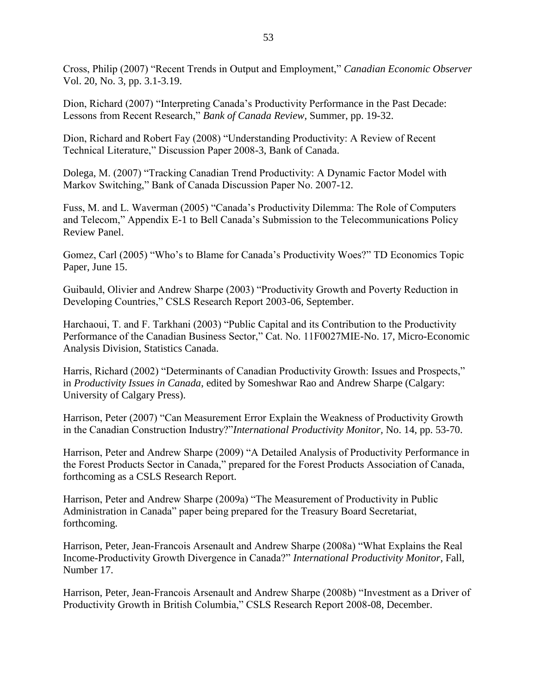Cross, Philip (2007) "Recent Trends in Output and Employment," *Canadian Economic Observer* Vol. 20, No. 3, pp. 3.1-3.19.

Dion, Richard (2007) "Interpreting Canada's Productivity Performance in the Past Decade: Lessons from Recent Research," *Bank of Canada Review*, Summer, pp. 19-32.

Dion, Richard and Robert Fay (2008) "Understanding Productivity: A Review of Recent Technical Literature," Discussion Paper 2008-3, Bank of Canada.

Dolega, M. (2007) "Tracking Canadian Trend Productivity: A Dynamic Factor Model with Markov Switching," Bank of Canada Discussion Paper No. 2007-12.

Fuss, M. and L. Waverman (2005) "Canada's Productivity Dilemma: The Role of Computers and Telecom," Appendix E-1 to Bell Canada's Submission to the Telecommunications Policy Review Panel.

Gomez, Carl (2005) "Who's to Blame for Canada's Productivity Woes?" TD Economics Topic Paper, June 15.

Guibauld, Olivier and Andrew Sharpe (2003) "Productivity Growth and Poverty Reduction in Developing Countries," CSLS Research Report 2003-06, September.

Harchaoui, T. and F. Tarkhani (2003) "Public Capital and its Contribution to the Productivity Performance of the Canadian Business Sector," Cat. No. 11F0027MIE-No. 17, Micro-Economic Analysis Division, Statistics Canada.

Harris, Richard (2002) "Determinants of Canadian Productivity Growth: Issues and Prospects," in *Productivity Issues in Canada*, edited by Someshwar Rao and Andrew Sharpe (Calgary: University of Calgary Press).

Harrison, Peter (2007) "Can Measurement Error Explain the Weakness of Productivity Growth in the Canadian Construction Industry?"*International Productivity Monitor*, No. 14, pp. 53-70.

Harrison, Peter and Andrew Sharpe (2009) "A Detailed Analysis of Productivity Performance in the Forest Products Sector in Canada," prepared for the Forest Products Association of Canada, forthcoming as a CSLS Research Report.

Harrison, Peter and Andrew Sharpe (2009a) "The Measurement of Productivity in Public Administration in Canada" paper being prepared for the Treasury Board Secretariat, forthcoming.

Harrison, Peter, Jean-Francois Arsenault and Andrew Sharpe (2008a) "What Explains the Real Income-Productivity Growth Divergence in Canada?" *International Productivity Monitor*, Fall, Number 17.

Harrison, Peter, Jean-Francois Arsenault and Andrew Sharpe (2008b) "Investment as a Driver of Productivity Growth in British Columbia," CSLS Research Report 2008-08, December.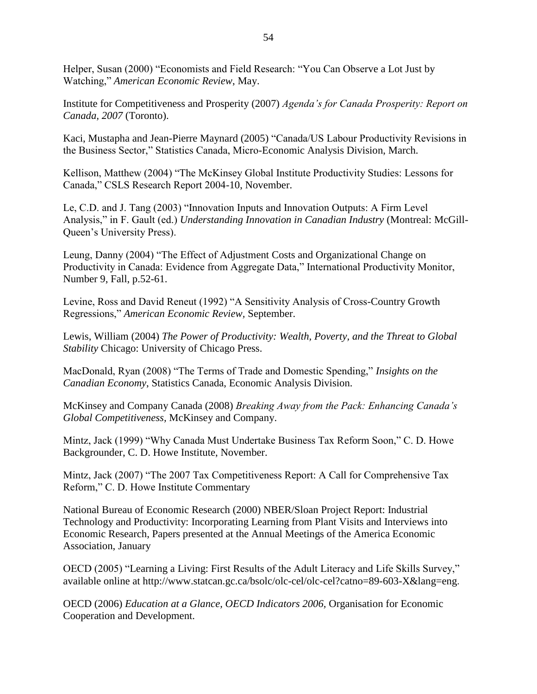Helper, Susan (2000) "Economists and Field Research: "You Can Observe a Lot Just by Watching," *American Economic Review*, May.

Institute for Competitiveness and Prosperity (2007) *Agenda's for Canada Prosperity: Report on Canada, 2007* (Toronto).

Kaci, Mustapha and Jean-Pierre Maynard (2005) "Canada/US Labour Productivity Revisions in the Business Sector," Statistics Canada, Micro-Economic Analysis Division, March.

Kellison, Matthew (2004) "The McKinsey Global Institute Productivity Studies: Lessons for Canada," CSLS Research Report 2004-10, November.

Le, C.D. and J. Tang (2003) "Innovation Inputs and Innovation Outputs: A Firm Level Analysis," in F. Gault (ed.) *Understanding Innovation in Canadian Industry* (Montreal: McGill-Queen's University Press).

Leung, Danny (2004) "The Effect of Adjustment Costs and Organizational Change on Productivity in Canada: Evidence from Aggregate Data," International Productivity Monitor, Number 9, Fall, p.52-61.

Levine, Ross and David Reneut (1992) "A Sensitivity Analysis of Cross-Country Growth Regressions,‖ *American Economic Review,* September.

Lewis, William (2004) *The Power of Productivity: Wealth, Poverty, and the Threat to Global Stability* Chicago: University of Chicago Press.

MacDonald, Ryan (2008) "The Terms of Trade and Domestic Spending," *Insights on the Canadian Economy*, Statistics Canada, Economic Analysis Division.

McKinsey and Company Canada (2008) *Breaking Away from the Pack: Enhancing Canada's Global Competitiveness,* McKinsey and Company.

Mintz, Jack (1999) "Why Canada Must Undertake Business Tax Reform Soon," C. D. Howe Backgrounder, C. D. Howe Institute, November.

Mintz, Jack (2007) "The 2007 Tax Competitiveness Report: A Call for Comprehensive Tax Reform," C. D. Howe Institute Commentary

National Bureau of Economic Research (2000) NBER/Sloan Project Report: Industrial Technology and Productivity: Incorporating Learning from Plant Visits and Interviews into Economic Research, Papers presented at the Annual Meetings of the America Economic Association, January

OECD (2005) "Learning a Living: First Results of the Adult Literacy and Life Skills Survey," available online at http://www.statcan.gc.ca/bsolc/olc-cel/olc-cel?catno=89-603-X&lang=eng.

OECD (2006) *Education at a Glance, OECD Indicators 2006,* Organisation for Economic Cooperation and Development.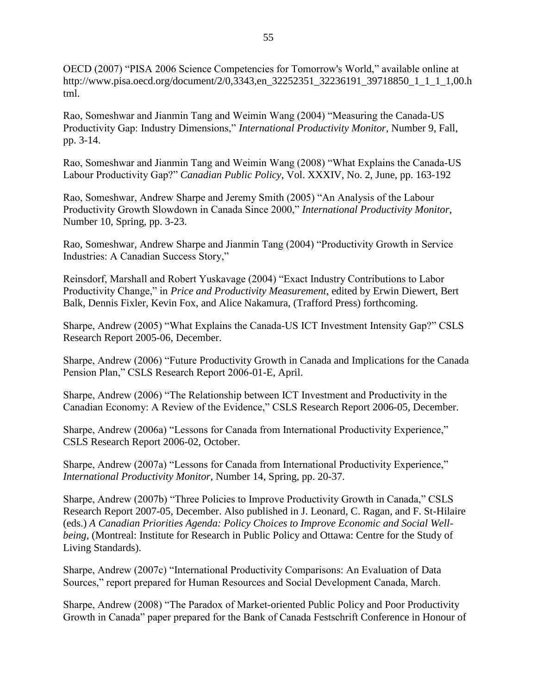OECD (2007) "PISA 2006 Science Competencies for Tomorrow's World," available online at http://www.pisa.oecd.org/document/2/0,3343,en\_32252351\_32236191\_39718850\_1\_1\_1\_1,00.h tml.

Rao, Someshwar and Jianmin Tang and Weimin Wang (2004) "Measuring the Canada-US Productivity Gap: Industry Dimensions," *International Productivity Monitor*, Number 9, Fall, pp. 3-14.

Rao, Someshwar and Jianmin Tang and Weimin Wang (2008) "What Explains the Canada-US Labour Productivity Gap?" *Canadian Public Policy*, Vol. XXXIV, No. 2, June, pp. 163-192

Rao, Someshwar, Andrew Sharpe and Jeremy Smith (2005) "An Analysis of the Labour Productivity Growth Slowdown in Canada Since 2000," *International Productivity Monitor*, Number 10, Spring, pp. 3-23.

Rao, Someshwar, Andrew Sharpe and Jianmin Tang (2004) "Productivity Growth in Service Industries: A Canadian Success Story,"

Reinsdorf, Marshall and Robert Yuskavage (2004) "Exact Industry Contributions to Labor Productivity Change," in *Price and Productivity Measurement*, edited by Erwin Diewert, Bert Balk, Dennis Fixler, Kevin Fox, and Alice Nakamura, (Trafford Press) forthcoming.

Sharpe, Andrew (2005) "What Explains the Canada-US ICT Investment Intensity Gap?" CSLS Research Report 2005-06, December.

Sharpe, Andrew (2006) "Future Productivity Growth in Canada and Implications for the Canada Pension Plan," CSLS Research Report 2006-01-E, April.

Sharpe, Andrew (2006) "The Relationship between ICT Investment and Productivity in the Canadian Economy: A Review of the Evidence," CSLS Research Report 2006-05, December.

Sharpe, Andrew (2006a) "Lessons for Canada from International Productivity Experience," CSLS Research Report 2006-02, October.

Sharpe, Andrew (2007a) "Lessons for Canada from International Productivity Experience," *International Productivity Monitor*, Number 14, Spring, pp. 20-37.

Sharpe, Andrew (2007b) "Three Policies to Improve Productivity Growth in Canada," CSLS Research Report 2007-05, December. Also published in J. Leonard, C. Ragan, and F. St-Hilaire (eds.) *A Canadian Priorities Agenda: Policy Choices to Improve Economic and Social Wellbeing,* (Montreal: Institute for Research in Public Policy and Ottawa: Centre for the Study of Living Standards).

Sharpe, Andrew (2007c) "International Productivity Comparisons: An Evaluation of Data Sources," report prepared for Human Resources and Social Development Canada, March.

Sharpe, Andrew (2008) "The Paradox of Market-oriented Public Policy and Poor Productivity Growth in Canada" paper prepared for the Bank of Canada Festschrift Conference in Honour of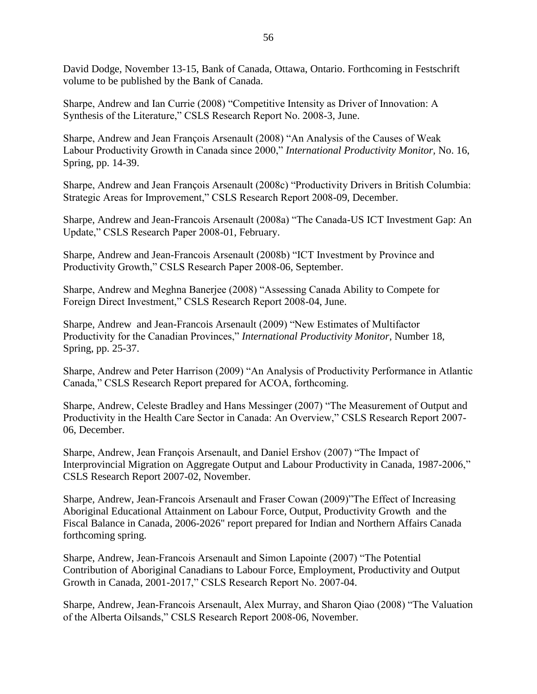David Dodge, November 13-15, Bank of Canada, Ottawa, Ontario. Forthcoming in Festschrift volume to be published by the Bank of Canada.

Sharpe, Andrew and Ian Currie (2008) "Competitive Intensity as Driver of Innovation: A Synthesis of the Literature," CSLS Research Report No. 2008-3, June.

Sharpe, Andrew and Jean François Arsenault (2008) "An Analysis of the Causes of Weak Labour Productivity Growth in Canada since 2000," *International Productivity Monitor*, No. 16, Spring, pp. 14-39.

Sharpe, Andrew and Jean François Arsenault (2008c) "Productivity Drivers in British Columbia: Strategic Areas for Improvement," CSLS Research Report 2008-09, December.

Sharpe, Andrew and Jean-Francois Arsenault (2008a) "The Canada-US ICT Investment Gap: An Update," CSLS Research Paper 2008-01, February.

Sharpe, Andrew and Jean-Francois Arsenault (2008b) "ICT Investment by Province and Productivity Growth," CSLS Research Paper 2008-06, September.

Sharpe, Andrew and Meghna Banerjee (2008) "Assessing Canada Ability to Compete for Foreign Direct Investment," CSLS Research Report 2008-04, June.

Sharpe, Andrew and Jean-Francois Arsenault (2009) "New Estimates of Multifactor Productivity for the Canadian Provinces,‖ *International Productivity Monitor*, Number 18, Spring, pp. 25-37.

Sharpe, Andrew and Peter Harrison (2009) "An Analysis of Productivity Performance in Atlantic Canada," CSLS Research Report prepared for ACOA, forthcoming.

Sharpe, Andrew, Celeste Bradley and Hans Messinger (2007) "The Measurement of Output and Productivity in the Health Care Sector in Canada: An Overview," CSLS Research Report 2007-06, December.

Sharpe, Andrew, Jean François Arsenault, and Daniel Ershov (2007) "The Impact of Interprovincial Migration on Aggregate Output and Labour Productivity in Canada, 1987-2006," CSLS Research Report 2007-02, November.

Sharpe, Andrew, Jean-Francois Arsenault and Fraser Cowan (2009)''The Effect of Increasing Aboriginal Educational Attainment on Labour Force, Output, Productivity Growth and the Fiscal Balance in Canada, 2006-2026" report prepared for Indian and Northern Affairs Canada forthcoming spring.

Sharpe, Andrew, Jean-Francois Arsenault and Simon Lapointe (2007) "The Potential Contribution of Aboriginal Canadians to Labour Force, Employment, Productivity and Output Growth in Canada, 2001-2017," CSLS Research Report No. 2007-04.

Sharpe, Andrew, Jean-Francois Arsenault, Alex Murray, and Sharon Qiao (2008) "The Valuation of the Alberta Oilsands," CSLS Research Report 2008-06, November.